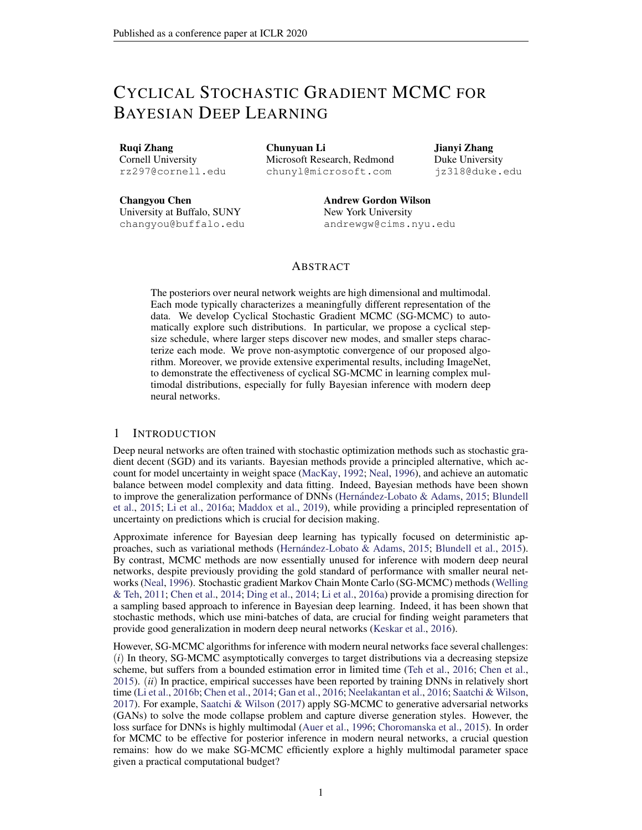# <span id="page-0-0"></span>CYCLICAL STOCHASTIC GRADIENT MCMC FOR BAYESIAN DEEP LEARNING

Ruqi Zhang Cornell University rz297@cornell.edu

Chunyuan Li Microsoft Research, Redmond chunyl@microsoft.com

Jianyi Zhang Duke University jz318@duke.edu

Changyou Chen University at Buffalo, SUNY changyou@buffalo.edu Andrew Gordon Wilson New York University andrewgw@cims.nyu.edu

### ABSTRACT

The posteriors over neural network weights are high dimensional and multimodal. Each mode typically characterizes a meaningfully different representation of the data. We develop Cyclical Stochastic Gradient MCMC (SG-MCMC) to automatically explore such distributions. In particular, we propose a cyclical stepsize schedule, where larger steps discover new modes, and smaller steps characterize each mode. We prove non-asymptotic convergence of our proposed algorithm. Moreover, we provide extensive experimental results, including ImageNet, to demonstrate the effectiveness of cyclical SG-MCMC in learning complex multimodal distributions, especially for fully Bayesian inference with modern deep neural networks.

### 1 INTRODUCTION

Deep neural networks are often trained with stochastic optimization methods such as stochastic gradient decent (SGD) and its variants. Bayesian methods provide a principled alternative, which account for model uncertainty in weight space (MacKay, 1992; Neal, 1996), and achieve an automatic balance between model complexity and data fitting. Indeed, Bayesian methods have been shown to improve the generalization performance of DNNs (Hernández-Lobato & Adams, 2015; Blundell et al., 2015; Li et al., 2016a; Maddox et al., 2019), while providing a principled representation of uncertainty on predictions which is crucial for decision making.

Approximate inference for Bayesian deep learning has typically focused on deterministic approaches, such as variational methods (Hernández-Lobato & Adams, 2015; Blundell et al., 2015). By contrast, MCMC methods are now essentially unused for inference with modern deep neural networks, despite previously providing the gold standard of performance with smaller neural networks (Neal, 1996). Stochastic gradient Markov Chain Monte Carlo (SG-MCMC) methods (Welling & Teh, 2011; Chen et al., 2014; Ding et al., 2014; Li et al., 2016a) provide a promising direction for a sampling based approach to inference in Bayesian deep learning. Indeed, it has been shown that stochastic methods, which use mini-batches of data, are crucial for finding weight parameters that provide good generalization in modern deep neural networks (Keskar et al., 2016).

However, SG-MCMC algorithms for inference with modern neural networks face several challenges: (*i*) In theory, SG-MCMC asymptotically converges to target distributions via a decreasing stepsize scheme, but suffers from a bounded estimation error in limited time (Teh et al., 2016; Chen et al., 2015). (*ii*) In practice, empirical successes have been reported by training DNNs in relatively short time (Li et al., 2016b; Chen et al., 2014; Gan et al., 2016; Neelakantan et al., 2016; Saatchi & Wilson, 2017). For example, Saatchi & Wilson (2017) apply SG-MCMC to generative adversarial networks (GANs) to solve the mode collapse problem and capture diverse generation styles. However, the loss surface for DNNs is highly multimodal (Auer et al., 1996; Choromanska et al., 2015). In order for MCMC to be effective for posterior inference in modern neural networks, a crucial question remains: how do we make SG-MCMC efficiently explore a highly multimodal parameter space given a practical computational budget?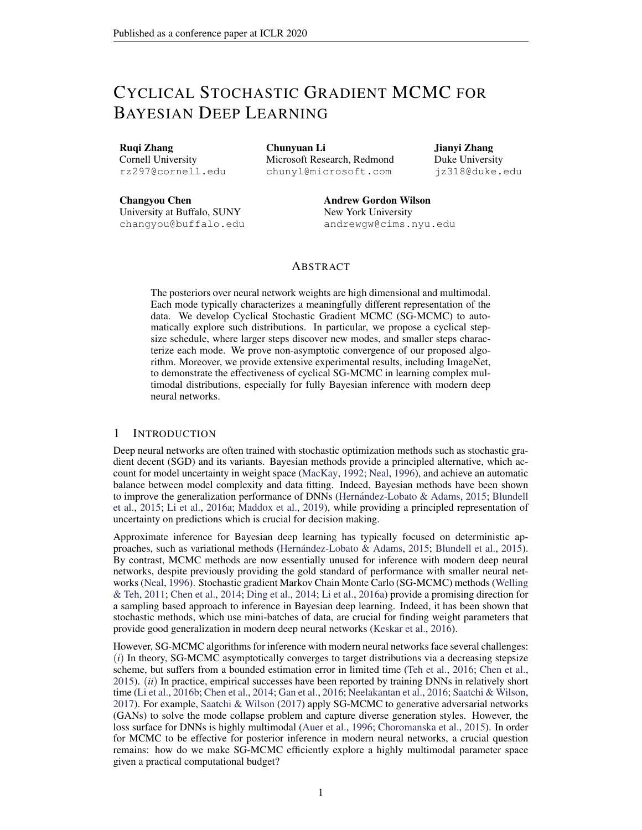Several attempts have been made to improve the sampling efficiency of SG-MCMC. Stochastic Gradient Hamiltonian Monte Carlo (SGHMC) (Chen et al., 2014) introduces momentum to Langevin dynamics. Preconditioned stochastic gradient Langevin dynamics (pSGLD) (Li et al., 2016a) adaptively adjusts the sampler's step size according to the local geometry of parameter space. Though simple and promising, these methods are still inefficient at exploring multimodal distributions in practice. It is our contention that this limitation arises from difficulties escaping local modes when using the small stepsizes that SG-MCMC methods typically require. Note that the stepsize in SG-MCMC controls the sampler's behavior in two ways: the magnitude to deterministically drift towards high density regions *wrt.* the current stochastic gradient, and the level of injecting noise to randomly explore the parameter space. Therefore, a small stepsize reduces both abilities, resulting in a large numbers of iterations for the sampler to move across the modes.

In this paper, we propose to replace the traditional decreasing stepsize schedule in SG-MCMC with a cyclical variant. To note the distinction from traditional SG-MCMC, we refer to this method as *Cyclical SG-MCMC* (cSG-MCMC). The comparison is illustrated in Figure [1.](#page-1-0) The blue curve is the traditional decay, while the red curve shows the proposed cyclical schedule. Cyclical SG-MCMC operates in two stages: (*i*) *Exploration*: when the stepsize is large (dashed red curves), we consider this stage as an effective burn-in mechanism, encouraging the sampler to take large

<span id="page-1-0"></span>

Figure 1: Illustration of the proposed cyclical stepsize schedule (red) and the traditional decreasing stepsize schedule (blue) for SG-MCMC algorithms.

moves and leave the local mode using the stochastic gradient. (*ii*) *Sampling*: when the stepsize is small (solid red curves), the sampler explores one local mode. We collect samples for local distribution estimation during this stage. Further, we propose two practical techniques to improve estimation efficiency: (1) a system temperature for exploration and exploitation; (2) A weighted combination scheme for samples collected in different cycles to reflect their relative importance.

This procedure can be viewed as SG-MCMC with warm restarts: the exploration stage provides the warm restarts for its following sampling stage. cSG-MCMC combines the advantages from (1) the traditional SG-MCMC to characterize the fine-scale local density of a distribution and (2) the cyclical schedule in optimization to efficiently explore multimodal posterior distributions of the parameter space. In limited time, cSG-MCMC is a practical tool to provide significantly better mixing than the traditional SG-MCMC for complex distributions. cSG-MCMC can also be considered as an *efficient* approximation to parallel MCMC; cSG-MCMC can achieve similar performance to parallel MCMC with only a fraction of cost (reciprocal to the number of chains) that parallel MCMC requires.

To support our proposal, we also prove the non-asymptotic convergence for the cyclical schedule. We note that this is the first convergence analysis of a cyclical stepsize algorithm (including work in optimization). Moreover, we provide extensive experimental results to demonstrate the advantages of cSG-MCMC in sampling from multimodal distributions, including Bayesian neural networks and uncertainty estimation on several large and challenging datasets such as ImageNet.

In short, cSG-MCMC provides a simple and automatic approach to inference in modern Bayesian deep learning, with promising results, and theoretical support. This work is a step towards enabling MCMC approaches in Bayesian deep learning. We release code at <https://github.com/ruqizhang/csgmcmc>.

# <span id="page-1-1"></span>2 PRELIMINARIES: SG-MCMC WITH A DECREASING STEPSIZE SCHEDULE

SG-MCMC is a family of scalable sampling methods that enables inference with mini-batches of data. For a dataset  $D = fd_i g_{i=1}^N$  and a -parameterized model, we have the likelihood  $p(D_j)$  and prior  $p(\cdot)$ . The posterior distribution is  $p(\cdot|D) \neq \exp(-U(\cdot))$ ; where  $U(\cdot)$  is the potential energy given by  $U(\ ) = \ \log p(D/\ ) \ \log p(\ )$ :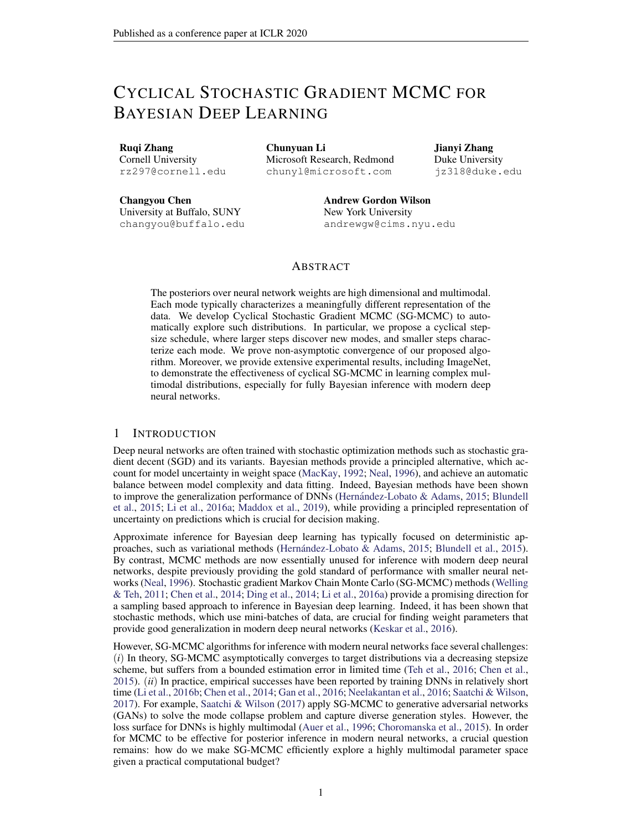When  $D$  is too large, it is expensive to evaluate  $U( )$  for all the data points at each iteration. Instead, SG-MCMC methods use a minibatch to approximate  $U(\cdot): \tilde{U}(\cdot) = \frac{N^0}{N} \sum_{i=1}^{N^0} \log p(x_i j)$  $\log p(\cdot)$  ; where  $N^{\theta}$  N is the size of minibatch. We recommend Ma et al. (2015) for a general review of SG-MCMC algorithms. We describe two SG-MCMC algorithms considered in this paper.

SGLD & SGHMC Welling & Teh (2011) proposed Stochastic Gradient Langevin Dynamics (SGLD), which uses stochastic gradients with Gaussian noise. Posterior samples are updated at (SOLD), which uses stochastic gradients with Gaussian hoise. Posterior samples are updated at the k-th step as:  $k = k_1 - kT\tilde{U}(k) + \frac{pT}{2k}k$ , where k is the stepsize and k has a standard Gaussian distribution.

To improve mixing over SGLD, Stochastic Gradient Hamiltonian Monte Carlo (SGHMC) (Chen et al., 2014) introduces an auxiliary momentum variable *v*. SGHMC is built upon HMC, with an additional friction term to counteract the noise introduced by a mini-batch. The update rule for posterior samples is:  $k = k_1 + V_{k-1}$ , and  $V_k = V_{k-1}$  kr  $\tilde{U}(\kappa)$  k  $V_{k-1} + \frac{V_{k-1}(\kappa)}{2(\kappa)}$  k, where  $1$  is the momentum term and  $\hat{ }$  is the estimate of the noise.

To guarantee asymptotic consistency with the true distribution, SG-MCMC requires that the step sizes satisfy the following assumption:

<span id="page-2-1"></span>**Assumption 1.** The step sizes  $f_{k}$  are decreasing, i.e.,  $0 < \kappa_{k+1} < \kappa_{k}$ , with  $I$ )  $\begin{bmatrix} 1 & 1 \\ k-1 & k \end{bmatrix}$   $\in I$ ; *and* 2)  $\int_{k=1}^{7} \frac{1}{k} < 1$ .

Without a decreasing step-size, the estimation error from numerical approximations is asymptotically biased. One typical decaying step-size schedule is  $k = a(b + k)$ , with 2 (0.5; 1] and  $(a, b)$  some positive constants (Welling & Teh, 2011).

# 3 CYCLICAL SG-MCMC

We now introduce our *cyclical SG-MCMC* (cSG-MCMC) algorithm. cSG-MCMC consists of two stages: *exploration* and *sampling*. In the following, we first introduce the cyclical step-size schedule, and then describe the exploration stage in Section [3.1](#page-3-0) and the sampling stage in Section [3.2.](#page-3-1) We propose an approach to combining samples for testing in Section F.

Assumption 1 guarantees the consistency of our estimation with the true distribution in the asymptotic time. The approximation error in limited time is characterized as the risk of an estimator  $R = B<sup>2</sup> + V$ , where B is the bias and V is the variance. In the case of infinite computation time, the traditional SG-MCMC setting can reduce the bias and variance to zero. However, the time budget is often limited in practice, and there is always a trade-off between bias and variance. We therefore decrease the overall approximation error  $R$  by reducing the variance through obtaining more effective samples. The effective sample size can be increased if fewer correlated samples from different distribution modes are collected.

For deep neural networks, the parameter space is highly multimodal. In practice, SG-MCMC with the traditional decreasing stepsize schedule becomes trapped in a local mode, though injecting noise may help the sampler to escape in the asymptotic regime (Zhang et al., 2017). Inspired to improve the exploration of the multimodal posteriors for deep neural networks, with a simple and automatic approach, we propose the cyclical cosine stepsize schedule for SG-MCMC. The stepsize at iteration  $k$  is defined as:

<span id="page-2-0"></span>
$$
k = \frac{0}{2} \cos \frac{\text{mod}(k - 1; dK = Me)}{dK = Me} + 1 ; \qquad (1)
$$

where  $\sigma$  is the initial stepsize, M is the number of cycles and K is the number of total iterations (Loshchilov & Hutter, 2016; Huang et al., 2017).

The stepsize  $k$  varies periodically with k. In each period,  $k$  starts at  $\sigma$ , and gradually decreases to 0. Within one period, SG-MCMC starts with a large stepsize, resulting in aggressive exploration in the parameter space; as the stepsize is decreasing, SG-MCMC explores local regions. In the next period, the Markov chain restarts with a large stepsize, encouraging the sampler to escape from the current mode and explore a new area of the posterior.

Related work in optimization. In optimization, the cyclical cosine annealing stepsize schedule has been demonstrated to be able to find diverse solutions in multimodal objectives, though not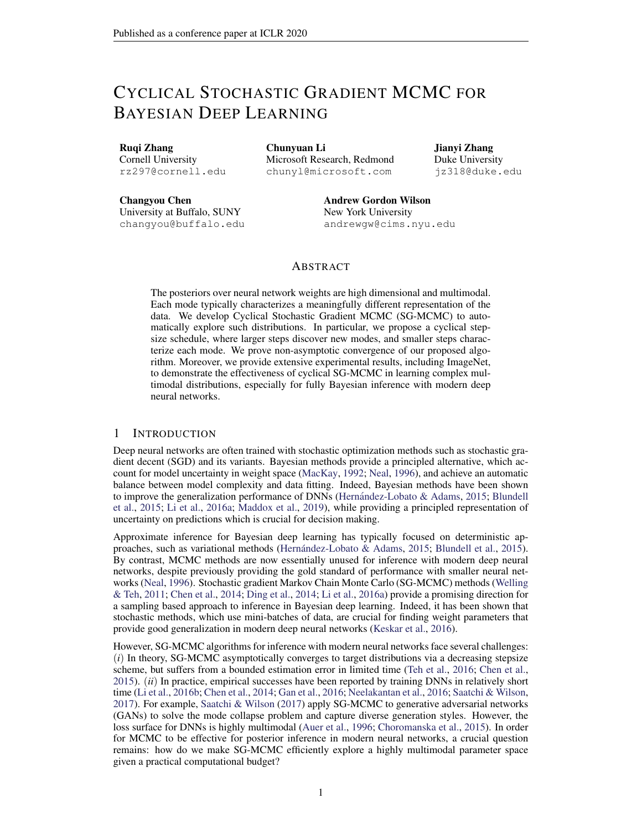specifically different modes, using stochastic gradient methods (Loshchilov & Hutter, 2016; Huang et al., 2017; Garipov et al., 2018; Fu et al., 2019). Alternatively, we adopt the technique to SG-MCMC as an effective scheme for sampling from multimodal distributions.

#### <span id="page-3-0"></span>3.1 EXPLORATION

The first stage of cyclical SG-MCMC, *exploration*, discovers parameters near local modes of an objective function. Unfortunately, it is undesirable to directly apply the cyclical schedule in optimization to SG-MCMC for collecting samples at every step. SG-MCMC often requires a small stepsize in order to control the error induced by the noise from using a minibatch approximation. If the stepsize is too large, the stationary distribution of SG-MCMC might be far away from the true posterior distribution. To correct this error, it is possible to do stochastic Metropolis-Hastings (MH) (Korattikara et al., 2014; Bardenet et al., 2014; Chen et al., 2016b). However, stochastic MH correction is still computationally too expensive. Further, it is easy to get rejected with an aggressive large stepsize, and every rejection is a waste of gradient computations.

To alleviate this problem, we propose to introduce a system temperature  $\bar{T}$  to control the sampler's behaviour:  $p(jD)$  / exp(  $U(j)=T$ ). Note that the setting  $T=1$  corresponds to sampling from the untempered posterior. When  $T \neq 0$ , the posterior distribution becomes a point mass. Sampling from  $\lim_{T\downarrow 0}$  exp(  $U(\ )=T$ ) is equivalent to minimizing  $U(\ )$ ; in this context, SG-MCMC methods become stochastic gradient optimization methods.

One may increase the temperature  $T$  from 0 to 1 when the step-size is decreasing. We simply consider  $T = 0$  and perform optimization as the burn-in stage, when the completed proportion of a cycle  $r(k) = \frac{\text{mod}(k-1)dK = Me}{dK = Me}$  is smaller than a given threshold:  $r(k) < .$  Note that  $2(0,1)$  $dK = Me$ balances the proportion of the exploration and sampling stages in cSG-MCMC.

#### <span id="page-3-1"></span>3.2 SAMPLING

The *sampling* stage corresponds to  $T = 1$ of the exploration stage. When  $r(k)$ or step-sizes are sufficiently small, we initiate SG-MCMC updates and collect samples until this cycle ends.

SG-MCMC with Warm Restarts. One may consider the exploration stage as automatically providing warm restarts for the sampling stage. Exploration alleviates the inefficient mixing and inability to traverse the multimodal distributions of the traditional SG-MCMC methods. SG-MCMC with warm restarts explores different parts Algorithm 1 Cyclical SG-MCMC.

<span id="page-3-2"></span>**Input:** The initial stepsize  $_0$ , number of cycles M, number of training iterations  $K$  and the proportion of exploration stage . for  $k = 1:K$  do  $k$  according to Eq equation [1.](#page-2-0) if  $\frac{\mod (k-1)dK=Me}{dK=Me}$  < then % Exploration stage  $\Gamma \tilde{U}_k( )$ else % Sampling stage Collect samples using SG-MCMC methods **Output:** Samples  $f_{k}q$ 

of the posterior distribution and captures multiple modes in a single training procedure.

In summary, the proposed cyclical SG-MCMC repeats the *two* stages, with three key advantages: (*i*) It restarts with a large stepsize at the beginning of a cycle which provides enough perturbation and encourages the model to escape from the current mode. (*ii*) The stepsize decreases more quickly inside one cycle than a traditional schedule, making the sampler better characterize the density of the local regions. (*iii*) This cyclical stepsize shares the advantage of the "super-convergence" property discussed in Smith & Topin (2017): cSG-MCMC can accelerate convergence for DNNs by up to an order of magnitude.

Connection to the Santa algorithm. It is interesting to note that our approach inverts steps of the Santa algorithm (Chen et al., 2016a) for optimization. Santa is a simulated-annealing-based optimization algorithm with an exploration stage when  $T = 1$ , then gradually anneals  $T / 0$  in a refinement stage for global optimization. In contrast, our goal is to draw samples for multimodal distributions, thus we explore with  $T = 0$  and sample with  $T = 1$ . Another fundamental difference is that Santa adopts the traditional stepsize decay, while we use the cyclical schedule.

We visually compare the difference between cyclical and traditional step size schedules (described in Section [2\)](#page-1-1) in Figure [1.](#page-1-0) The cyclical SG-MCMC algorithm is presented in Algorithm [1.](#page-3-2)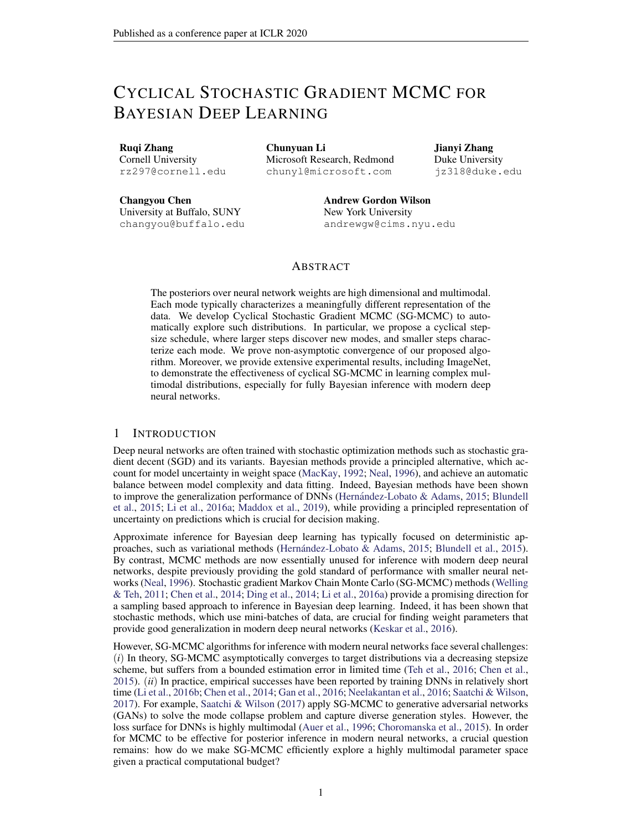Connection to Parallel MCMC. Running parallel Markov chains is a natural and effective way to draw samples from multimodal distributions (VanDerwerken & Schmidler, 2013; Ahn et al., 2014). However, the training cost increases linearly with the number of chains. Cyclical SG-MCMC can be seen as an efficient way to approximate parallel MCMC. Each cycle effectively estimates a different region of posterior. Note cyclical SG-MCMC runs along a single training pass. Therefore, its computational cost is the same as single chain SG-MCMC while significantly less than parallel MCMC.

Combining Samples. In cyclical SG-MCMC, we obtain samples from multiple modes of a posterior distribution by running the cyclical step size schedule for many periods. We provide a sampling combination scheme to effectively use the collected samples in Section F in the appendix.

#### 4 THEORETICAL ANALYSIS

Qur algorithm is based on the SDE characterizing the Langevin dynamics:  $d_t = r U(t) dt +$  $\bar{2}dW_t$ , where  $W_t \supseteq R^d$  is a *d*-dimensional Brownian motion. In this section, we prove nonasymptotic convergence rates for the proposed cSG-MCMC framework with a cyclical stepsize sequence  $f_{k}q$  defined in equation [1.](#page-2-0) For simplicity, we do not consider the exploration stage in the analysis as that corresponds to stochastic optimization. Generally, there are two different ways to describe the convergence behaviours of SG-MCMC. One characterizes the sample average over a particular test function (*e.g.*, Chen et al. (2015); Vollmer et al. (2016)); the other is in terms of the Wasserstein distance (*e.g.*, Raginsky et al. (2017); Xu et al. (2017)). We study both in the following.

Weak convergence Following Chen et al. (2015) and Vollmer et al. (2016), we define the posterior average of an ergodic SDE as:  $\frac{R}{X}$  ( ) ( )d for some test function ( ) of interest. For the corresponding algorithm with generated samples  $(k)_{k=1}^K$ , we use the *sample average*  $\hat{ }$  defined as  $\hat{K} = \frac{1}{K} \left( \begin{array}{c} K \\ k-1 \end{array} \right)$  ( k) to approximate  $\hat{K}$ . We prove weak convergence of cSGLD in terms of bias and MSE, as stated in Theorem 1.

Theorem 1. *Under Assumptions 2 in the appendix, for a smooth test function , the bias and MSE of cSGLD are bounded as:*

*BIAS:* 
$$
E^{\sim} = O \frac{1}{\omega K} + O
$$
; *MSE:*  $E^{\sim} = \frac{2}{\omega C} = O \frac{1}{\omega K} + \frac{2}{0}$  : (2)

Convergence under the Wasserstein distance Next, we consider the more general case of SGLD and characterize convergence rates in terms of a stronger metric of 2-Wasserstein distance, defined as:

$$
W_2^2(~;~):=\inf\limits_{k} \qquad k \qquad \ell k_2^2 d~(~;~^{\theta}):~^2\Gamma(~;~^{\theta}
$$

where  $\Gamma(\cdot)$  is the set of joint distributions over  $(\cdot)$  such that the two marginals equal and, respectively.

Denote the distribution of  $t$  in the SDE as  $t$ . According to Chiang & Hwang (1987), the stationary distribution  $\tau$  matches our target distribution. Let  $\kappa$  be the distribution of the sample from our proposed cSGLD algorithm at the  $K$ -th iteration. Our goal is to derive a convergence bound on  $W_2(k; \tau)$ . We adopt standard assumptions as in most existing work, which are detailed in Assumption [3](#page-0-0) in the appendix. Theorem [2](#page-4-0) summarizes our main theoretical result.

<span id="page-4-0"></span>**Theorem 2.** Under Assumption [3](#page-0-0) in the appendix, there exist constants  $(C_0; C_1; C_2; C_3)$  indepen*dent of the stepsizes such that the convergence rate of our proposed cSGLD with cyclical stepsize sequence equation* [1](#page-2-0) *is bounded for all* K *satisfying* (*K mod*  $\overline{M} = 0$ ), as  $W_2(\overline{K} \cdot \overline{1})$ 

$$
C_3 \exp\left(-\frac{K_0}{2C_4}\right) + \left[6 + \frac{C_2K_0}{2}\right]^{\frac{1}{2}} \left[ (C_1 \frac{3 \frac{2}{0}K}{8} + C_0 \frac{K_0}{2})^{\frac{1}{2}} + (C_1 \frac{3 \frac{2}{0}K}{16} + C_0 \frac{K_0}{4})^{\frac{1}{4}} \right].
$$

*Particularly, if we further assume*  $0 = O(K)$  *for*  $8 > 1$ ,  $W_2(\kappa; 1)$   $C_3 + C_4$  $6 + \frac{C_2}{K}$  $\frac{1}{2} \left[ \left( \frac{2C_1}{K^2} + \frac{2C_0}{K} \right)^{\frac{1}{2}} + \left( \frac{C_1}{K^2} + \frac{C_0}{K} \right)^{\frac{1}{4}} \right].$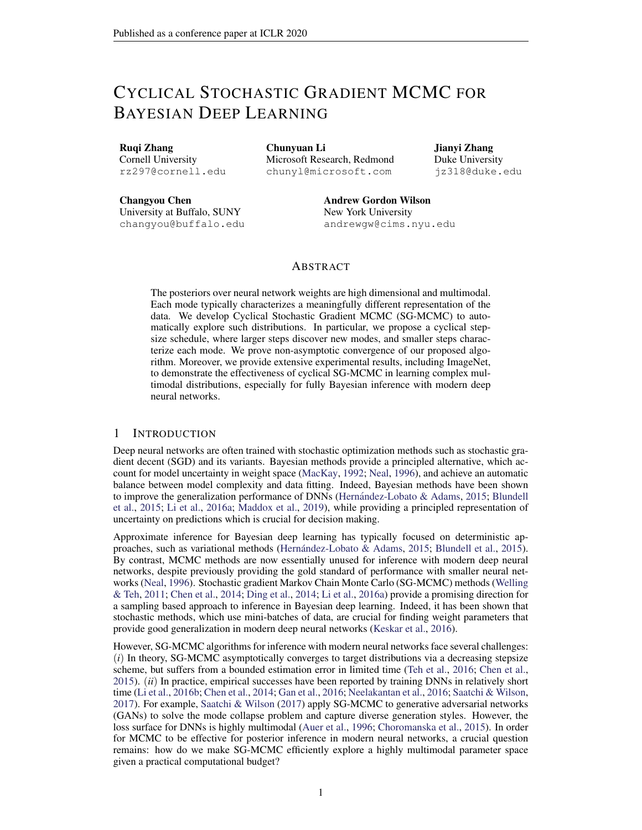(a) MDS (b) Interpolation (c) Comparison

Figure 3: Results of cSG-MCMC with DNNs on the CIFAR-100 dataset. (a) MDS visualization in weight space: cSG-MCMC show larger distance than traditional schedules. (b) Testing % alrors ( on the path of two samples: cSG-MCMC shows more varied performance. (c) Testing errors ( a function of the number of cycled : cSGLD yields consistently lower errors.

Remark 1. i) The bound is decomposed into two parts: the rst part measures convergence speed of exact solution to the stationary distribution, i.e.,  $\kappa$  to  $\lambda$ ; the second part measures the numerical error, i.e., between and  $P_{k,k}$ . ii) The overall bound offers a same order of dependency orK as in standard SGLD (please see the bound for SGLD in Section E of the appendix. See also Raginsky et al. (2017)). Jilf one imposes stricter assumptions such as in the convex case, the bound can be further improved. Speci c bounds are derived in the appendix. We did not consider this case due to the discrepancy from real applications.

# 5 EXPERIMENTS

We demonstrate cSG-MCMC on several tasks, including a synthetic multimodal distribution (Section 5.1), image classi cation on Bayesian neural networks (Section 5.2) and uncertainty estimation in Section 5.3. We also demonstrate cSG-MCMC can improve the estimate ef ciency for uni-modal distributions using Bayesian logistic regression in Section A.2 in the appendix. We choose SLGD and SGHMC as the representative baseline algorithms. Their cyclical counterpart are called cSGLD and cSGHMC, respectively.

# 5.1 SYNTHETIC MULTIMODAL DATA

We rst demonstrate the ability of cSG-MCMC for sampling from a multi-modal distribution on a 2D mixture of 25 Gaussians. Speci- cally, we compare cSGLD with SGLD in two setting: (1) parallel running with 4 chains and (2) running with a single chain, respectively. Each chain runs for 50k iterations. The step- (a) Target size schedule of SGLD is $_{\rm k}$  /  $\,$  0:05 $\rm k$   $\,$  <sup>0:55</sup>. In

 $cSGLD$ , we se $M = 30$  and the initial step- Figure 2: Sampling from a mixture of 25 Gaussize  $_0$  = 0:09. The proportion of exploration sians shown in (a) for the parallel setting. With stage  $=$   $\frac{1}{4}$ . Fig 2 shows the estimated density budget of 50k  $=$  4 = 200k samples, traditional using sampling results for SGLD and cSGLD GLD in (b) has only discovered 4 of the 25 in the parallel setting. We observed that SGLP <sub>nodes,</sub> while our cSGLD in (c) has fully explored gets trapped in the local modes, depending ene distribution. the initial position. In any practical time period,

 $(b)$  SGLD  $(c)$  cSGLD

SGLD could only characterize partial distribution. In contrast, cSGLD is able to nd and characterize all modes, regardless of the initial position. cSGLD leverages large step sizes to discover a new mode, and small step sizes to explore local modes. This result suggests cSGLD can be a signi-cantly favourable choice in the non-asymptotic setting, for example only 50k iterations in this case. The single chain results and the quantitative results on mode coverage are reported in Section A.1 of the appendix.

# 5.2 BAYESIAN NEURAL NETWORKS

We demonstrate the effectiveness of cSG-MCMC on Bayesian neural networks for classi cation on CIFAR-10 and CIFAR-100. We compare with traditional SG-MCMC;(ii) traditional stochastic optimization methods, including stochastic gradient descent (SGD) and stochastic gradient descent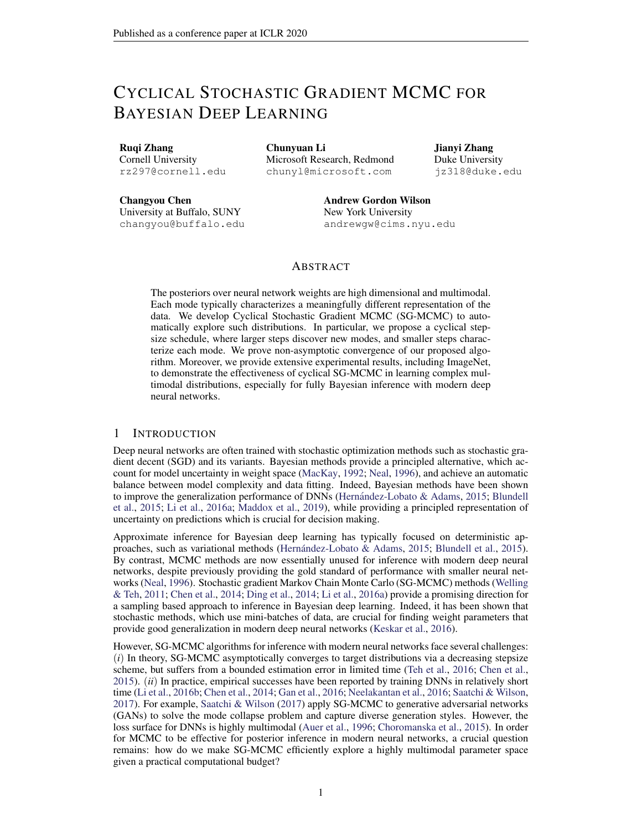with momentum (SGDM); and ii) Snapshot a stochastic optimization ensemble method method with a the cyclical stepsize schedule (Huang et al., 2017). We use a ResNet-18 (He et al., 2016) and run all algorithms for 200 epochs. We report the test errors averaged over 3 runs, and the standard error ( ) from the mean predictor.

We setM = 4 and  $_0$  = 0:5 for cSGLD, cSGHMC and Snapshot. The proportion hyper-parameter = 0.8 and 0.94 for CIFAR-10 and CIFAR-100, respectively. We collect 3 samples per cycle. In practice, we found that the collected samples share similarly high likelihood for DNNs, thus one may simply set the normalizing term in equation 33 to be the same for faster testing.

We found thattemperinghelps improve performance for Bayesian inference with neural networks. Tempering for SG-MCMC was rst used by Li et al. (2016a) as a practical technique for neural network training for fast convergence in limited time We simply use the prescribed temperature of Li et al. (2016a) without tuning, but better results of the sampling methods can be achieved by tuning the temperature. More details are in Appendix J. We hypothesize that tempering helps due to the overparametrization of neural networks. Tempering enables one to leverage the inductive biases of the network, while representing the belief that the model capacity can be misspeci ed. In work on Safe Bayesalso known asgeneralizedand fractional Bayesian inference, tempered posteriors are well-known to help under misspeci cation (e.g., Barron & Cover, 1991; de Heide et al., 2019; Grünwald et al., 2017).

For the traditional SG-MCMC methods, we found that noise injection early in training hurts convergence. To make these baselines as competitive as possible, we thus avoid noise injection for the rst 150 epochs of training (corresponding to the zero temperature limit of SGLD and SGHMC), and resume SGMCMC as usual (with noise) for the last 50 epochs. This scheme is similar to the exploration and sampling stages within one cycle of cSG-MCMC. We collect 20 samples for the MCMC methods and average their predictions in testing.

| Testing Performance for Image Classi cation                  |              |             |            |
|--------------------------------------------------------------|--------------|-------------|------------|
|                                                              |              | CIFAR-10    | CIFAR-100  |
| We report the testing errors in Table 1 to com-              | <b>SGD</b>   | $5.29$ 0.15 | 23.61 0.09 |
| pare with the non-parallel algorithms. Snapshot              | SGDM         | 5.17 0.09   | 22.98 0.27 |
| and traditional SG-MCMC reduce the testing er-               | Snapshot-SGD | 4.46 0.04   | 20.83 0.01 |
| rors on both datasets. Performance variance forSnapshot-SGDM |              | 4.39 0.01   | 20.81 0.10 |
| these methods is also relatively small, due to               | SGLD.        | 5.20 0.06   | 23.23 0.01 |
| the multiple networks in the Bayesian model av-              | cSGLD        | 4.29 0.06   | 20.55 0.06 |
| erage. Further, cSG-MCMC signi cantly out-                   | <b>SGHMC</b> | 4.93 0.1    | 22.60 0.17 |
| performs Snapshot ensembles and the traditional              | cSGHMC       | 4.27 0.03   | 20.50 0.11 |

capturing diverse modes compared to traditionaable 1: Comparison of test error (%) between SG-MCMC, and (2) capturing ne-scale characCSG-MCMC with non-parallel algorithms. cSteristics of the distribution compared with SnapGLD and cSGHMC yields lower errors than their optimization counterparts, respectively. SG-MCMC, demonstrating the importance of (1) shot ensembles.

Diversity in Weight Space. To further demonstrate our hypothesis that with a limited budget cSG-MCMC can nd diverse modes, while traditional SG-MCMC cannot, we visualize the 12 samples we collect from cSG-MCMC and SG-MCMC on CIFAR-100 respectively using Multidimensional Scaling (MDS) in Figure 3 (a). MDS uses a Euclidean distance metric between the weight of samples. We see that the samples of cSG-MCMC form 4 clusters, which means they are from 4 different modes in weight space. However, all samples from SG-MCMC only form one cluster, which indicates traditional SG-MCMC gets trapped in one mode and only samples from that mode.

Diversity in Prediction. To further demonstrate the samples from different cycles of cSG-MCMC provide diverse predictions we choose one sample from each cycle and linearly interpolate between two of them (Goodfellow et al., 2014; Huang et al., 2017). Speci callyJl(et) be the test error of a sample with parameter. We compute the test error of the convex combination of two samples  $J($   $_1 + (1)$   $_2)$ , where 2 [0; 1].

We linearly interpolate between two samples from neighboring chains of cSG-MCMC since they are the most likely to be similar. We randomly select 4 samples from SG-MCMC. If the samples are from the same mode, the test error of the linear interpolation of parameters will be relatively

<sup>1</sup> https://github.com/ChunyuanLI/pSGLD/issues/2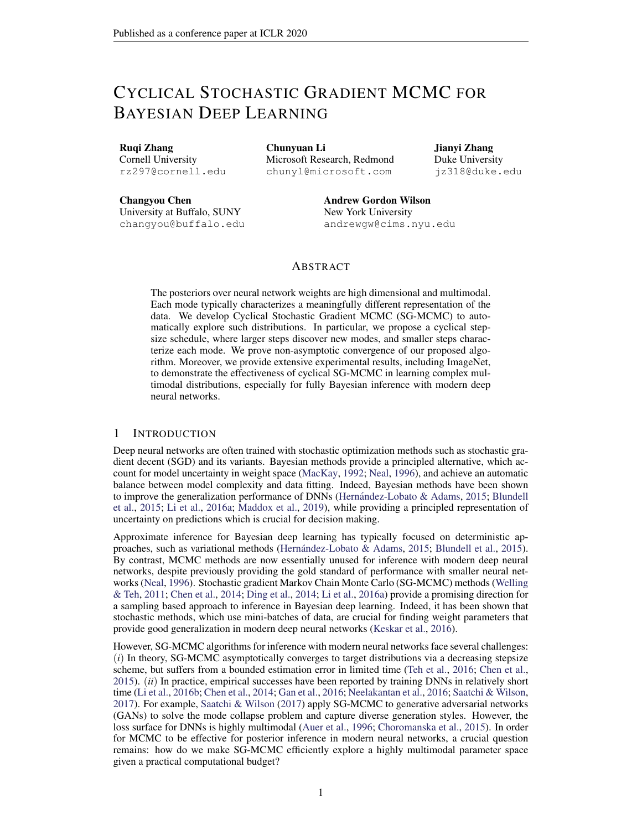| Method    |       | Cyclical+Parallel             |       | Decreasing+Parallel Decreasing+Parallel |       |              |             | Cyclical+Single |
|-----------|-------|-------------------------------|-------|-----------------------------------------|-------|--------------|-------------|-----------------|
| Cost      |       | 200/800<br>200/800<br>100/400 |       |                                         |       |              | 200/200     |                 |
| Sampler   | SGLD  | SGHMC                         | SGLD  | <b>SGHMC</b>                            | SGLD  | <b>SGHMC</b> | <b>SGLD</b> | <b>SGHMC</b>    |
| CIFAR-10  | 4.09  | 3.95                          | 4.15  | 4.09                                    | 5.11  | 4.52         | 4.29        | 4 27            |
| CIFAR-100 | 19.37 | 19.19                         | 20.29 | 19.72                                   | 21.16 | 20.82        | 20.55       | 20.50           |

Table 2: Comparison of test error (%) between cSG-MCMC with parallel algoriM me4 chains) on CIFAR-10 and CIFAR-100. The method is reported in the format of "step-size schedule (cyclical or decreasing) + single/parallel chain". The cost is reported in the format opbch per chain / # epoch used in all chains". Note that a parallel algorithm with a single chain reduces to a nonparallel algorithm. Integration of the cyclical schedule with parallel algorithms provides lower testing errors.

smooth, while if the samples are from different modes, the test error of the parameter interpolation will have a spike when is between 0 and 1.

We show the results of interpolation for cSG-MCMC and SG-MCMC on CIFAR-100 in Figure 3 (b). We see a spike in the test error in each linear interpolation of parameters between two samples from neighboring chains in cSG-MCMC while the linear interpolation for samples of SG-MCMC is smooth. This result suggests that samples of cSG-MCMC from different chains are from different modes while samples of SG-MCMC are from the same mode.

Although the test error of a single sample of cSG-MCMC is worse than that of SG-MCMC shown in Figure 3 (c), the ensemble of these samples signi cantly improves the test error, indicating that samples from different modes provide different predictions and make mistakes on different data points. Thus these diverse samples can complement each other, resulting in a lower test error, and demonstrating the advantage of exploring diverse modes using cSG-MCMC.

Comparison to Parallel MCMC. cSG-MCMC can be viewed as an economical alternative to parallel MCMC. We verify how closely cSG-MCMC can approximate the performance of parallel MCMC, but with more convenience and less computational expense. We also note that we can improve parallel MCMC with the proposed cyclical stepsize schedule.

We report the testing errors in Table 2 to compare multiple-chain results. (1) Four chains used, each runs 200 epochs (800 epochs in total), the results are shown in the rst 4 columns (Cyclical+Parallel vs Decreasing+Parallel). We see that cSG-MCMC variants provide lower errors than plain SG-MCMC. (2) We reduce the number of epochs (och) of parallel MCMC to 100 epoch each for decreasing stepsize schedule. The total cost is 400 epochs. We compare its performance with cyclical single chain (200 epochs in total) in the last 4 columns (Decreasing+Parallel vs Cyclical+Single). We see that the cyclical schedule running on a single chain performs best even with half the computational cost! All the results indicate the importance of warm re-starts using the proposed cyclical schedule. For a given total cost budget, the proposed cSGMCMC is preferable to parallel sampling.

Comparison to Snapshot Optimization. We carefully compared with Snapshot, as our cSG-MCMC can be viewed as the sampling counterpart of the Snapshot optimization method. We plot the test errowrt.various number of cycles in Fig. 3. AsM increases, cSG-MCMC and Snapshot both improve. However, given a xeM, cSG-MCMC yields substantially lower test errors than Snapshot. This result is due to the ability of cSG-MCMC to better characterize the local distribution of modes: Snapshot provides a singe minimum per cycle, while cSG-MCMC fully exploits the mode with more samples, which could provide weight uncertainty estimate and avoid over-tting.

Results on ImageNet. We further study dif-

| ferent learning algorithms on a large-scale                                                                                 |        | NLL #  | $\overline{Top1}$ | Top5"  |
|-----------------------------------------------------------------------------------------------------------------------------|--------|--------|-------------------|--------|
|                                                                                                                             | SGDM   | 0.9595 | 76.046            | 92.776 |
| dataset, ImageNet. ResNet-50 is used as the ar-<br>chitecture, and 120 epochs for each run. The Snapshot-SGDM 0.8941 77.142 |        |        |                   | 93.344 |
|                                                                                                                             | SGHMC  |        | 0.9308 76.274     | 92.994 |
| results on the testing set are summarized in Ta-                                                                            | cSGHMC |        | 0.8882 77.114     | 93.524 |
| ble 3, including NLL, Top1 and Top5 accuracy                                                                                |        |        |                   |        |

Table 3: Comparison on the testing set of ImageNet. cSGHMC yields lower testing NLL than samples per cycle. We see that cSGHMC yields napshot and SGHMC. (%), respectively. 3 cycles are considered for both cSGHMC and Snapshot, and we collect 3 the lowest testing NLL, indicating that the cy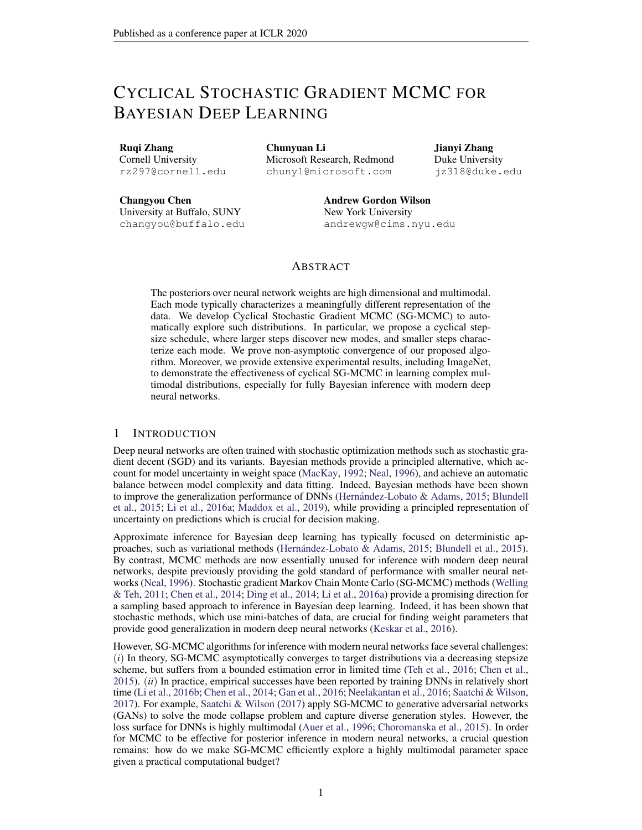cle schedule is an effective technique to explore the parameter space, and diversi ed samples can help prevent over- tting.

### 5.3 UNCERTAINTY EVALUATION

To demonstrate how predictive uncertainty bene ts from exploring multiple modes in the posterior of neural network weights, we consider the task of uncertainty estimation for out-ofdistribution samples (Lakshminarayanan et al., 2017). We train a three-layer MLP model on the standard MNIST train dataset until convergence using different algorithms, and estimate the entropy of the predictive distribution on the notM-NIST dataset (Bulatov, 2011). Since the samples from the notMNIST dataset belong to the unseen classes, ideally the predictive distribution of the trained model should be uniform over the notM-

NIST digits, which gives the maximum entropy. Figure 4: Empirical CDF for the entropy of the predictive distribution on notMNIST dataset. In Figure 4, we plot the empirical CDF for the cSGLD and cSGHMC show lower probability entropy of the predictive distributions on notM $_{\text{for the low entropy}}$  estimate than other algo-NIST. We see that the uncertainty estimates from hms. cSGHMC and cSGLD are better than the other

methods, since the probability of a low entropy prediction is overall lower. cSG-MCMC algorithms explore more modes in the weight space, each mode characterizes a meaningfully different representation of MNIST data. When testing on the out-of-distribution dataset (notMNIST), each mode can provide different predictions over the label space, leading to more reasonable uncertainty estimates. Snapshot achieves less entropy than cSG-MCMC, since it represents each mode with a single point.

The traditional SG-MCMC methods also provide better uncertainty estimation compared to their optimization counterparts, because they characterize a local region of the parameter space, rather than a single point. cSG-MCMC can be regarded as a combination of these two worlds: a wide coverage of many modes in Snapshot, and ne-scale characterization of local regions in SG-MCMC.

# 6 DISCUSSION

We have proposed cyclical SG-MCMC methods to automatically explore complex multimodal distributions. Our approach is particularly compelling for Bayesian deep learning, which involves rich multimodal parameter posteriors corresponding to meaningfully different representations. We have also shown that our cyclical methods explore unimodal distributions more ef ciently. These results are in accordance with theory we developed to show that cyclical SG-MCMC will converge faster to samples from a stationary distribution in general settings. Moreover, we show cyclical SG-MCMC methods provide more accurate uncertainty estimation, by capturing more diversity in the hypothesis space corresponding to settings of model parameters.

While MCMC was once the gold standard for inference with neural networks, it is now rarely used in modern deep learning. We hope that this paper will help renew interest in MCMC for posterior inference in deep learning. Indeed, MCMC is uniquely positioned to explore the rich multimodal posterior distributions of modern neural networks, which can lead to improved accuracy, reliability, and uncertainty representation.

# ACKNOWLEDGEMENTS

AGW was supported by an Amazon Research Award, Facebook Research, NSF I-DISRE 193471, NIH R01 DA048764-01A1, NSF IIS-1563887, and NSF IIS-1910266.

# **REFERENCES**

Sungjin Ahn, Babak Shahbaba, and Max Welling. Distributed stochastic gradient MCMCML, 2014.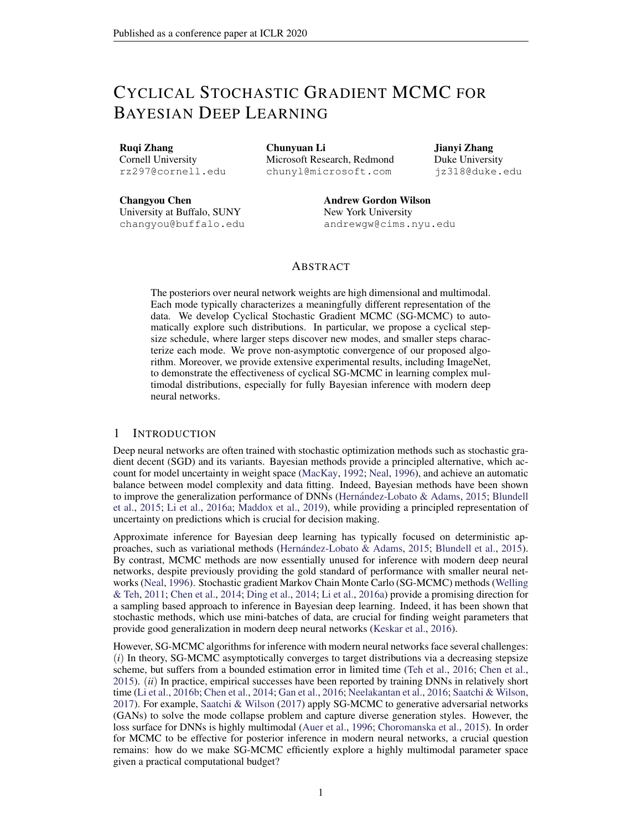- Peter Auer, Mark Herbster, and Manfred K Warmuth. Exponentially many local minima for single neurons. InNIPS 1996.
- Remi Bardenet, Arnaud Doucet, and Chris Holmes. Towards scaling up Markov Chain Monte Carlo: ´ an adaptive subsampling approach. CML, 2014.
- Andrew R Barron and Thomas M Cover. Minimum complexity density estimation. It ansactions on information theory $37(4)$ : 1034-1054, 1991.
- Charles Blundell, Julien Cornebise, Koray Kavukcuoglu, and Daan Wierstra. Weight uncertainty in neural networksICML, 2015.
- François Bolley and *Edric Villani.* Weighted csis *a* kullback-pinsker inequalities and applications to transportation inequalities. In anales de la Faculte des sciences de Toulouse ersité Paul Sabatier, 2005.
- Yaroslav Bulatov. Not MNIST Dataset. 2011http://yaroslavvb.blogspot.com/ 2011/09/notmnist-dataset.html .
- Changyou Chen, Nan Ding, and Lawrence Carin. On the convergence of stochastic gradient MCMC algorithms with high-order integrators. MIPS 2015.
- Changyou Chen, David Carlson, Zhe Gan, Chunyuan Li, and Lawrence Carin. Bridging the gap between stochastic gradient MCMC and stochastic optimizationArtlincial Intelligence and Statistics 2016a.
- Changyou Chen, Ruiyi Zhang, Wenlin Wang, Bai Li, and Liqun Chen. A uni ed particleoptimization framework for scalable bayesian samplian iv preprint arXiv:1805.116592018.
- Haoyu Chen, Daniel Seita, Xinlei Pan, and John Canny. An ef cient minibatch acceptance test for Metropolis-HastingsarXiv preprint arXiv:1610.0684,82016b.
- Tianqi Chen, Emily Fox, and Carlos Guestrin. Stochastic gradient Hamiltonian Monte Carlo. In ICML, 2014.
- Tzuu-Shuh Chiang and Chii-Ruey Hwang. Diffusion for global optimization in StateM J. Control Optim, pp. 737–753, 1987. ISSN 0363-0129. doi: 10.1137/0325042. http://dx.doi. org/10.1137/0325042 .
- Anna Choromanska, Mikael Henaff, Michael Mathieuer Grd Ben Arous, and Yann LeCun. The loss surfaces of multilayer networks. Anti cial Intelligence and Statistics 2015.
- Arnak S. Dalalyan and Avetik Karagulyan. User-friendly guarantees for the langevin monte carlo with inaccurate gradientStochastic Processes and their Applicatio<sup>n</sup>819. ISSN 0304-4149. doi: https://doi.org/10.1016/j.spa.2019.02.016. URtp://www.sciencedirect.com/ science/article/pii/S0304414918304824 .
- Rianne de Heide, Alisa Kirichenko, Nishant Mehta, and Peten Gald. Safe-bayesian generalized linear regressionarXiv preprint arXiv:1910.092272019.
- Nan Ding, Youhan Fang, Ryan Babbush, Changyou Chen, Robert D Skeel, and Hartmut Neven. Bayesian sampling using stochastic gradient thermostats IRS 2014.
- Meire Fortunato, Charles Blundell, and Oriol Vinyals. Bayesian recurrent neural netwan Kis. preprint arXiv:1704.027982017.
- Hao Fu, Chunyuan Li, Xiaodong Liu, Jianfeng Gao, Asli Celikyilmaz, and Lawrence Carin. Cyclical annealing schedule: A simple approach to mitigating KL vanishing. ACL, 2019.
- Zhe Gan, Chunyuan Li, Changyou Chen, Yunchen Pu, Qinliang Su, and Lawrence Carin. Scalable Bayesian learning of recurrent neural networks for language modeling, 2016.
- Timur Garipov, Pavel Izmailov, Dmitrii Podoprikhin, Dmitry P Vetrov, and Andrew G Wilson. Loss surfaces, mode connectivity, and fast ensembling of DNNsAdvances in Neural Information Processing Systemsp. 8789-8798, 2018.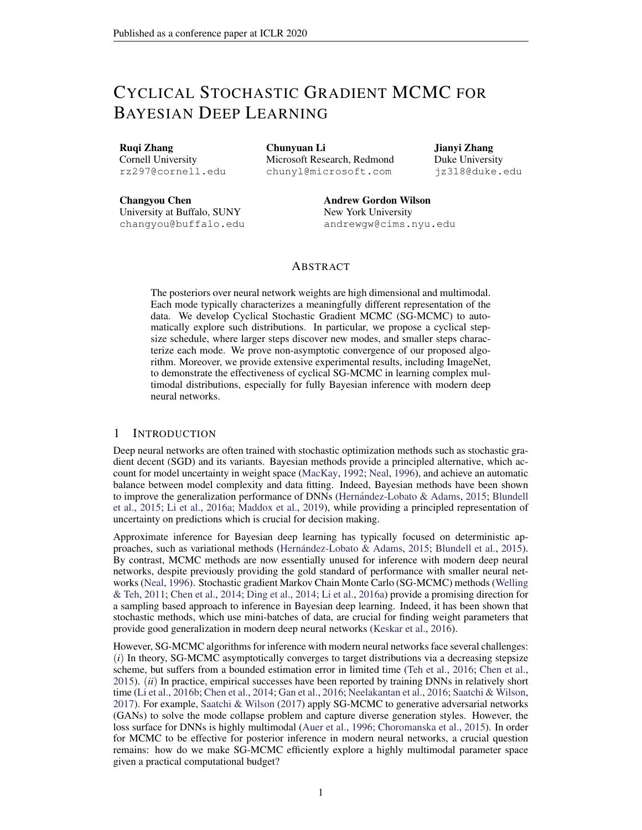- Ian J Goodfellow, Oriol Vinyals, and Andrew M Saxe. Qualitatively characterizing neural network optimization problemsarXiv preprint arXiv:1412.654,42014.
- Peter J Green. Reversible jump MCMC computation and bayesian model determi**Badionetrika** 82(4):711–732, 1995.
- Peter Günwald, Thijs Van Ommen, et al. Inconsistency of bayesian inference for misspeci ed linear models, and a proposal for repairing Bayesian Analysis  $2(4)$ : 1069–1103, 2017.
- Kaiming He, Xiangyu Zhang, Shaoqing Ren, and Jian Sun. Deep residual learning for image recognition. In CVPR 2016.
- José Miguel Herrández-Lobato and Ryan Adams. Probabilistic backpropagation for scalable learning of Bayesian neural networks. IGML, 2015.
- Matthew D Hoffman and Andrew Gelman. The no-u-turn sampler: adaptively setting path lengths in hamiltonian monte carlo.Journal of Machine Learning Research 5(1):1593–1623, 2014.
- Gao Huang, Yixuan Li, Geoff Pleiss, Zhuang Liu, John E Hopcroft, and Kilian Q Weinberger. Snapshot ensembles: Train 1, get m for fred R, 2017.
- Nitish Shirish Keskar, Dheevatsa Mudigere, Jorge Nocedal, Mikhail Smelyanskiy, and Ping Tak Peter Tang. On large-batch training for deep learning: Generalization gap and sharp man Xiva. preprint arXiv:1609.048362016.
- Anoop Korattikara, Yutian Chen, and Max Welling. Austerity in MCMC land: Cutting the Metropolis-Hastings budget. InCML, 2014.
- Balaji Lakshminarayanan, Alexander Pritzel, and Charles Blundell. Simple and scalable predictive uncertainty estimation using deep ensembles. IPS, 2017.
- Chunyuan Li, Changyou Chen, David E Carlson, and Lawrence Carin. Preconditioned stochastic gradient Langevin dynamics for deep neural networksAAAAI, 2016a.
- Chunyuan Li, Andrew Stevens, Changyou Chen, Yunchen Pu, Zhe Gan, and Lawrence Carin. Learning weight uncertainty with stochastic gradient MCMC for shape classi cation CVIPR, 2016b.
- Chang Liu, Jingwei Zhuo, and Jun Zhu. Understanding mcmc dynamics as ows on the wasserstein space.arXiv preprint arXiv:1902.0028, 2019.
- Ilya Loshchilov and Frank Hutter. Sgdr: Stochastic gradient descent with warm restarts. 2016.
- Yi-An Ma, Tianqi Chen, and Emily Fox. A complete recipe for stochastic gradient MCMC. In **NIPS 2015.**
- David JC MacKay. A practical bayesian framework for backpropagation netwoltes al computation, 1992.
- Wesley J Maddox, Pavel Izmailov, Timur Garipov, Dmitry P Vetrov, and Andrew Gordon Wilson. A simple baseline for bayesian uncertainty in deep learning divences in Neural Information Processing Systemsp. 13132–13143, 2019.
- J. C. Mattingly, A. M. Stuart, and M. V. Tretyakov. Construction of numerical time-average and stationary measures via Poisson equations. NUMER. ANAL 48(2): 552–577, 2010.

Radford M Neal.Bayesian learning for neural networkblew York: Springer-Verlag, 1996.

- Arvind Neelakantan, Luke Vilnis, Quoc V Le, Ilya Sutskever, Lukasz Kaiser, Karol Kurach, and James Martens. Adding gradient noise improves learning for very deep networkship 2016.
- Anh Nguyen, Jeff Clune, Yoshua Bengio, Alexey Dosovitskiy, and Jason Yosinski. Plug & play generative networks: Conditional iterative generation of images in latent spaceodeedings of the IEEE Conference on Computer Vision and Pattern Recognition 4467–4477, 2017.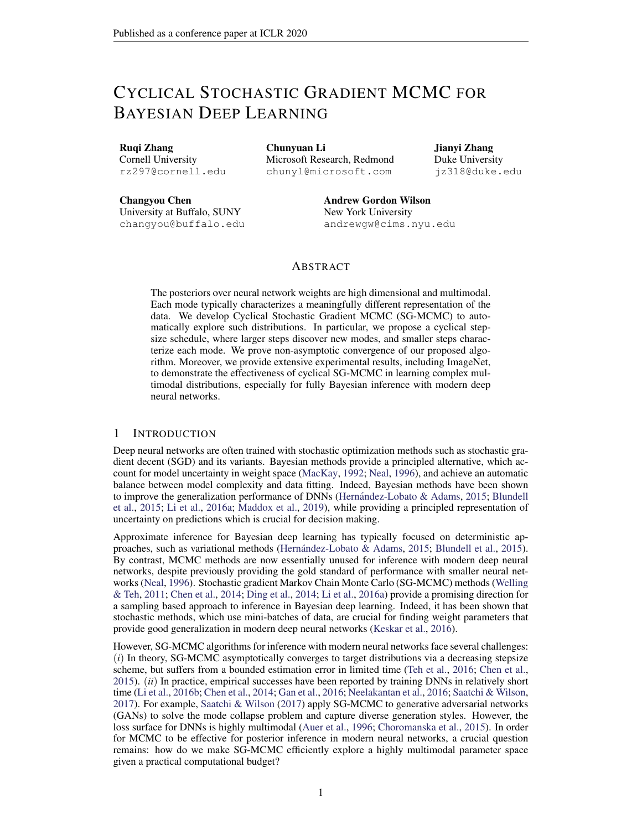- Adrian E Raftery, Michael A Newton, Jaya M Satagopan, and Pavel N Krivitsky. Estimating the integrated likelihood via posterior simulation using the harmonic mean identity. 2006.
- Maxim Raginsky, Alexander Rakhlin, and Matus Telgarsky. Non-convex learning via stochastic gradient Langevin dynamics: a nonasymptotic analyarixiv preprint arXiv:1702.0384, 2017.
- Yunus Saatchi and Andrew Gordon Wilson. Bayesian GANPS, 2017.
- Filippo Santambrogiof Euclidean, metric, and Wasserstreig gradient ows: an overview Bulletin of Mathematical Science  $\sqrt{5(1)}$ :87–154, Apr 2017.
- Leslie N Smith and Nicholay Topin. Super-convergence: Very fast training of residual networks using large learning ratearXiv preprint arXiv:1708.071202017.
- Yee Whye Teh, Alexandre H Thiery, and Sebastian J Vollmer. Consistency and uctuations for stochastic gradient Langevin dynamidshe Journal of Machine Learning Researd 016.
- Douglas N VanDerwerken and Scott C Schmidler. Parallel Markov Chain Monte Carl&iv preprint arXiv:1312.74792013.
- S. J. Vollmer, K. C. Zygalakis, and Y. W. Teh. (Non-)asymptotic properties of stochastic gradient Langevin dynamics. Technical Report arXiv:1501.00438, University of Oxford, UK, January 2015. URLhttp://arxiv.org/abs/1501.00438 .
- Sebastian J. Vollmer, Konstantinos C. Zygalakis, and Yee Whye Teh. Exploration of the (non- )asymptotic bias and variance of stochastic gradient langevin dynamics and Machine Learning Research 7(159): 1-48, 2016.
- Max Welling and Yee W Teh. Bayesian learning via stochastic gradient Langevin dynamics. In ICML, 2011.
- Pan Xu, Jinghui Chen, Difan Zou, and Quanquan Gu. Global convergence of Langevin dynamics based algorithms for nonconvex optimization. Aiv preprint arXiv:1707.0661,82017.
- Jianyi Zhang, Ruiyi Zhang, and Changyou Chen. Stochastic Particle-Optimization Sampling and the Non-Asymptotic Convergence Theory. Aiv e-prints art. arXiv:1809.01293, Sep 2018.
- Y. Zhang, P. Liang, and M. Charikar. A hitting time analysis of stochastic gradient Langevin dynamics. InCOLT, 2017.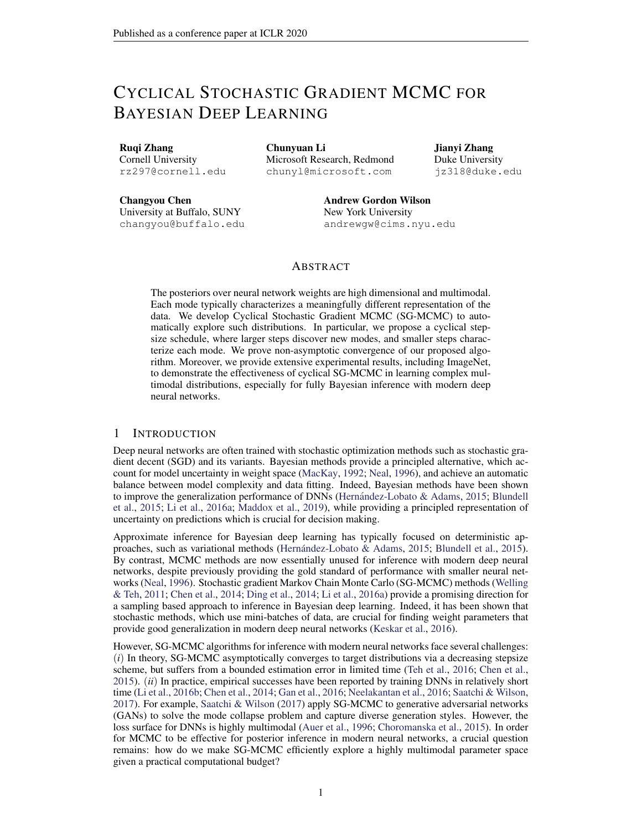# A EXPERIMENTAL RESULTS

### A.1 SYNTHETIC MULTIMODAL DISTRIBUTION

The density of the distribution is

$$
F(x) = \begin{cases} \n\mathcal{X}^{5} & \text{N (xj i; ) ;} \\
\vdots & \vdots \\
\mathcal{X}^{60} & \text{N (xj i; ) ;} \\
\mathcal{X}^{70} & \text{N (xj i; ) } \\
\mathcal{X}^{85} & \text{N (xj i; ) } \\
\mathcal{X}^{85} & \text{N (xj i; ) } \\
\mathcal{X}^{95} & \text{N (xj i; ) } \\
\mathcal{X}^{10} & \text{N (xj i; ) } \\
\mathcal{X}^{11} & \text{N (xj i; ) } \\
\mathcal{X}^{12} & \text{N (xj i; ) } \\
\mathcal{X}^{13} & \text{N (xj i; ) } \\
\mathcal{X}^{14} & \text{N (xj i; ) } \\
\mathcal{X}^{15} & \text{N (xj i; ) } \\
\mathcal{X}^{16} & \text{N (xj i; ) } \\
\mathcal{X}^{17} & \text{N (xj i; ) } \\
\mathcal{X}^{18} & \text{N (xj i; ) } \\
\mathcal{X}^{19} & \text{N (xj i; ) } \\
\mathcal{X}^{10} & \text{N (xj i; ) } \\
\mathcal{X}^{10} & \text{N (xj i; ) } \\
\mathcal{X}^{11} & \text{N (xj i; ) } \\
\mathcal{X}^{12} & \text{N (xj i; ) } \\
\mathcal{X}^{13} & \text{N (xj i; ) } \\
\mathcal{X}^{14} & \text{N (xj i; ) } \\
\mathcal{X}^{15} & \text{N (xj i; ) } \\
\mathcal{X}^{16} & \text{N (xj i; ) } \\
\mathcal{X}^{16} & \text{N (xj i; ) } \\
\mathcal{X}^{17} & \text{N (xj i; ) } \\
\mathcal{X}^{18} & \text{N (xj i; ) } \\
\mathcal{X}^{19} & \text{N (xj i; ) } \\
\mathcal{X}^{10} & \text{N (xj i; ) } \\
\mathcal{X}^{10} & \text{N (xj i; ) } \\
\mathcal{X}^{11} & \text{N (xj i; ) } \\
\mathcal{X}^{12} & \text{N (xj i; ) } \\
\mathcal
$$

In Figure 5, we show the estimated density for SGLD and cSGLD in the non-parallel setting.

### (a) Target (b) SGLD (c) cSGLD

Figure 5: Sampling from a mixture of 25 Gaussians in the non-parallel setting. With a budget of 50K samples, traditional SGLD has only discovered one of the 25 modes, while our proposed cSGLD has explored signi cantly more of the distribution.

To quantitatively show the ability of different algorithms to explore multi-modal distributions, we de ne themode-coveragmetric: when the number of samples falling within the radiust a mode center is larger than a threshold we consider this mode covered. On this dataset, we choose  $r = 0.25$  and  $n = 100$ . Table 4 shows the mode-coverage for several algorithms, based on 10 different runs.

| Algorithm            | Mode coverage |
|----------------------|---------------|
| SGLD                 | 1.8 0.13      |
| cSGLD                | 6.7 0.52      |
| <b>Parallel SGLD</b> | 18 0.47       |
| Parallel cSGLD       | 24.4 0.22     |

Table 4: Mode coverage over 10 different runsstandard error.

### A.2 BAYESIAN LOGISTIC REGRESSION

We consider Bayesian logistic regression (BLR) on three real-world datasets from the UCI repository: Australian (15 covariates, 690 data points) erman (25 covariates, 1000 data points) and Heart (14 covariates, 270 data points). For all experiments, we collect 5000 samples with 5000 burn-in iterations. Following the settings in Li et al. (2016a), we report meetientive sample size (ESS) in Table 5.

Note that BLR isunimodalin parameter space. We use this experiment as an adversarial situation for cSG-MCMC, which we primarily designed to explore multiple modes. We note that even in the unimodal setting, cSG-MCMC more effectively explores the parameter space than popular alternatives. We can also use these experiments to understand how samplers respond to varying parameter dimensionality and training set sizes.

Overall, cSG-MCMC dramatically outperforms SG-MCMC, which demonstrates the fast mixing rate due to the warm restarts. On the small data exact SGHMC and cSGHMC achieve the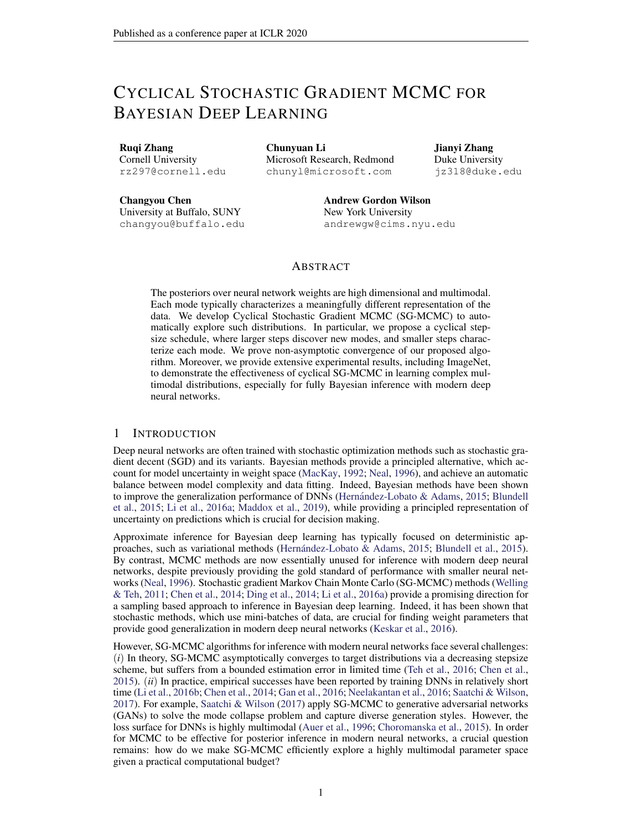same results, because the posterior of BLR on this dataset is simple. However, in higher dimensional spacese(g., AustralianandGermar), cSG-MCMC shows signi cantly higher ESS; this result means that each cycle in cSG-MCMC can characterize a different region of the posteriors, combining multiple cycles yields more accurate overall approximation.

|              | Australian | German | Heart |
|--------------|------------|--------|-------|
| SGLD         | 1676       | 492    | 2199  |
| cSGLD        | 2138       | 978    | 2541  |
| <b>SGHMC</b> | 1317       | 2007   | 5000  |
| cSGHMC       | 4707       | 2436   | 5000  |

Table 5: Effective sample size for samples for the unimodal posteriors in Bayesian linear regression, obtained using cyclical and traditional SG-MCMC algorithms, respectively.

# B ASSUMPTIONS

#### B.1 ASSUMPTIONS IN WEAK CONVERGENCE ANALYSIS

In the analysis, we de ne a functional that solves the following oisson Equation

L ( 
$$
_{k}
$$
) = (  $_{k}$ ) ; or equivalently,  $\frac{1}{K} \underset{k=1}{\overset{M}{\times}}$  L (  $_{k}$ ) =  $^{\wedge}$  : (3)

The solution functional ( $_{k}$ ) characterizes the difference betwe $qn_{k}$ ) and the posterior average

for every  $k$ , thus would typically possess a unique solution, which is at least as smooth as the elliptic or hypoelliptic settings (Mattingly et al., 2010). Following Chen et al. (2015); Vollmer et al. (2016), we make certain assumptions on the solution function and the Poisson equation equation 3.

Assumption 2. and its up to 3rd-order derivative $\mathfrak{D}^k$ , are bounded by a functiol, i.e., kD<sup>k</sup> k  $H_k V^{p_k}$  for k = (0; 1; 2; 3),  $H_k$ ;  $p_k > 0$ . Furthermore, the expectation of on f  $_k g$ is bounded: sup EV<sup>p</sup>( $_{k}$ ) < 1, and V is smooth such thas up<sub>s2(0;1)</sub> V<sup>p</sup> (s + (1 s) <sup>0</sup>)  $C(V^p( ) + V^p( ^0), 8; ^0; p$  maxf 2p<sub>k</sub> g for some  $C > 0$ .

#### B.2 ASSUMPTIONS IN CONVERGENCE UNDER THEWASSERSTEIN DISTANCE

Following existing work in Raginsky et al. (2017), we adopt the following standard assumptions summarized in Assumption 3.

Assumption 3. There exists some constarts 0 and B 0, such that  $U(0)$  A and r U(0) B.

The function U is  $U$ -smooth :kr U(w) r U(v)k  $L_U$ kw vk.

The function U is( $m_u$ ; b) dissipative, which means for some  $u > 0$  and  $b > 0$ hw;r $U(w)i$  m $U$ kwk $^2$  b.

There exists some constant 2 [0; 1), such that  $E[kr U_k(w) \r U(w)k^2]$ 2 (M $_{\text{U}}^{2}$ kwk<sup>2</sup> + B<sup>2</sup>).

We can choose $_0$  which satis es the requirement: $_0$  := log R  $e^{kwk^2}$  <sub>0</sub>(w)dw < 1 .

# C PROOF OFTHEOREM 1

To prove the theorem, we borrow tools developed by Chen et al. (2015); Vollmer et al. (2015). We rst rephrase the stepsize assumptions in general SG-MCMC in Assumption 4.

Assumption 4. The algorithm adopts a**N** -th order integrator<sub>b</sub> The step size**b**<sub>k</sub>g are such that  $0 < h_{k+1} < h_k$ , and satisfy 1)  $\frac{1}{k-1} h_k = 1$ ; and 2)  $\lim_{k \to 1} h_k$  $\frac{p_{k}}{k} = \frac{h_{k}^{N+1}}{h_{k}} = 0.$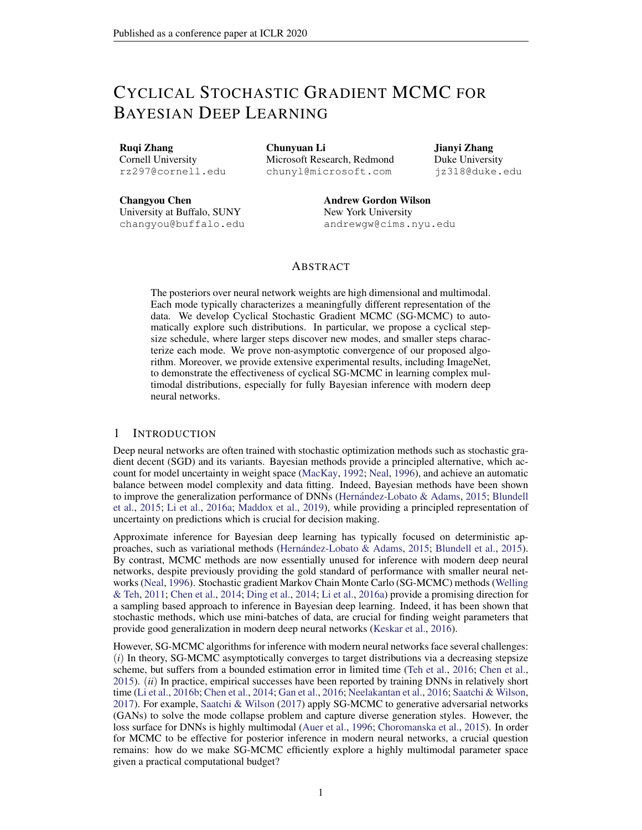Our prove can be derived by the following results from Chen et al. (2015).

Lemma 1 (Chen et al. (2015))Let S<sub>K</sub>,  $\begin{bmatrix} K & K \ K-1 & h_k \end{bmatrix}$  Under Assumptions 2 and 4, for a smooth test function , the bias and MSE of a decreasing-step-size SG-MCMC will thaorder integrator at time  $S_L$  are bounded as: !

BIAS: 
$$
E^{\sim}
$$
 = O  $\frac{1}{S_K} + \frac{P_{K} N_{K+1} P_{K}}{S_K}$  (4)

MSE: E ~ 
$$
^2
$$
 C  $\frac{X}{S_K^2} E k$   $V_1 k^2 + \frac{1}{S_K} + \frac{(P_{K-1} N_K N + 1)2}{S_K^2}$  : (5)

Note that Assumption 4 is only required if one wants to prove the asymptotically unbias of an algorithm. Lemma 1 still applies even if Assumption 4 is not satis ed. In this case one would obtain a biased algorithm, which is the case of cSGLD.

Proof of Theorem 1 Our results is actually a special case of Lemma 1. To see that, rst note that<br>eur eSCLD adopte a ret arder integrator, this - 1. To present note that our cSGLD adopts a rst order integrator, th**N**s = 1. To proceed, note th $\mathbf{\mathbf{\hat{a}}}_{\mathsf{K}}$  =  $k=1$   $k =$ O( $_0$ K), and

$$
\frac{4K}{\lambda} = \frac{2}{4} \int_{j=0}^{2} \frac{4K}{\lambda} \left[ \cos(\frac{\text{mod}(j-1; [K=M])}{[K=M]}) + 1 \right]^2
$$
  
\n
$$
= \frac{2}{4} \int_{j=0}^{2} \frac{4K}{\lambda} \left[ \cos^2(\frac{\text{mod}(j-1; K=M)}{K=M}) + 1 \right]^2
$$
  
\n
$$
= \frac{2}{4} \frac{4K}{\lambda} (\frac{M}{2} + M) = \frac{3}{8} \frac{3}{6} \frac{3K}{\lambda}.
$$
 (6)

As a result, for the bias, we have

$$
E^{-} = O \frac{1}{S_{K}} + \frac{P_{K_{-1}} N_{K}^{N+1}}{S_{K}} = O \frac{1}{0^{0} K} + \frac{3}{0} \frac{1}{0} K^{0}
$$

$$
= O \frac{1}{P_{-1}^{0} K} + O \frac{1}{0}
$$

For the MSE, note the -rst term P l  $\frac{h_k^2}{S_K^2}$ Ek V<sub>I</sub>k<sup>2</sup> has a higher order than other terms, thus it is omitted in the big-O notation,e.,

$$
E \sim \frac{2}{\pi} = 0 \frac{1}{\pi} + (\frac{3 \frac{2}{0}K = 8}{\pi})^2
$$

$$
= 0 \frac{1}{\pi} + \frac{2}{0}:
$$

This completes the proof.

# D PROOF OFTHEOREM 2

Proof of the bound 
$$
f_2
$$
 ( $f_1$ ), in cSGLD. Firstly, we introduce the following SDE

$$
d_t = r U( )dt + \left( \frac{1}{2}dW_t \right); \qquad (7)
$$

Let  $_t$  denote the distribution of<sub>t</sub>, and the stationary distribution of equation 34 $p$ (ejD), which means  $_1$  = p( jD). p

$$
k+1 = k \quad \text{or} \quad U_{k}(k) \quad k+1 + \frac{p}{2 k+1} \quad k+1 \tag{8}
$$

Further, let  $_k$  denote the distribution of  $_k$ .

**Since** 

$$
W_2(\kappa; 1) \quad W_2(\kappa; P_{\kappa}(\kappa; 1) + W_2(P_{\kappa}(\kappa; 1))
$$
 (9)

, we need to give the bounds for these two parts respectively.

 $\Box$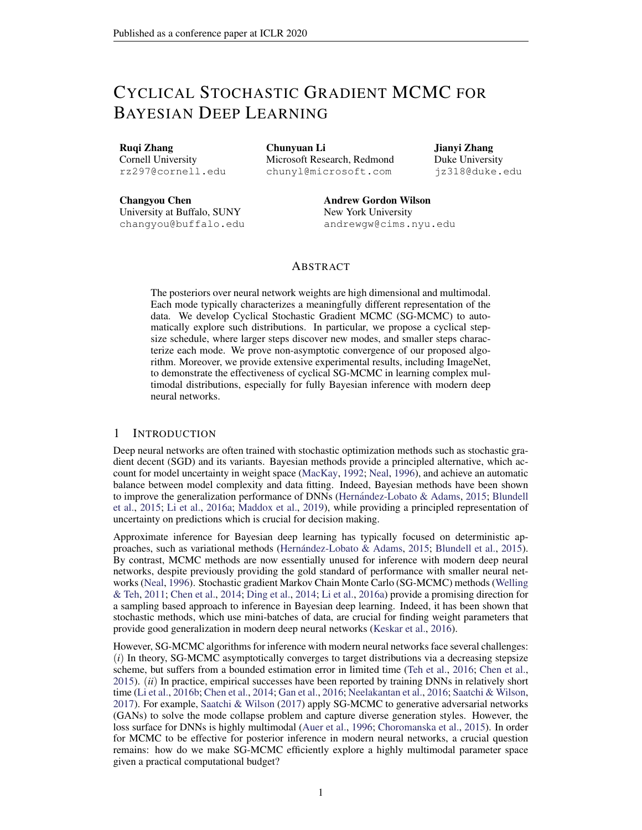D.1 
$$
W_2
$$
(  $\kappa$ ;  $P_{K_{n-1}} \atop k=1$  )

For the rst part, W<sub>2</sub>( $\kappa$ ;  $P_{\kappa}$ <sub>k=1</sub>), our proof is based on the proof of Lemma 3.6 in Raginsky et al. (2017) with some modi cations. We rst assumEer  $U(w)$ ) = r U(w); 8w 2 R<sup>d</sup>; which is a general assumption according to the way we choose the minibatch. And wepte menich will be used in the following proof:

$$
p(t) = f k 2 Zj \qquad \qquad t < \qquad \frac{\mathbf{R}^{t}}{t} \qquad \qquad i \qquad g \tag{10}
$$

Then we focus on the following continuous-time interpolation  $\alpha$  of

$$
I(t) = \begin{bmatrix} 2 & 0 & 1 \\ 0 & r & 0 \end{bmatrix} \begin{bmatrix} 8^{(s)} & 1 \\ 8^{(s)} & 1 \end{bmatrix} \begin{bmatrix} 2 & 1 \\ 8 & 1 \end{bmatrix} \begin{bmatrix} 2 & 1 \\ 0 & 0 \end{bmatrix} \begin{bmatrix} 4 & 1 \end{bmatrix}
$$

wherer  $\forall$  r  $\forall$ <sub>k</sub> for t 2  $\sum_{i=1}^{h}$  i,  $\sum_{i=1}^{k+1}$  i . And for each k  $\sum_{i=1}^{k}$   $\sum_{i=1}^{k}$  i) and <sub>k</sub> have the same probability law  $_k$ .

Since\_(t) is not a Markov process, we de ne the following process which has the same one-time marginals as (t)

$$
V(t) = \begin{array}{cc} Z_t & P \overline{Z}^t \\ 0 & G_s (V(s)) ds + \frac{P}{2} \frac{Z_t}{0} dW_s^{(d)} \end{array}
$$
 (12)

with

$$
C_{t}(x) := E^{4} r \cup \bigcirc_{i=1}^{\infty} x^{(t)} \bigcirc_{i=1}^{1} A_{j}(t) = x^{5}
$$
 (13)

Let  $P_V^t := L(V(s): 0 \text{ s } t)$  and  $P^t := L((s): 0 \text{ s } t)$  and according to the proof of Lemma 3.6 in Raginsky et al. (2017), we can derive a similar result for the relative entrody of and $\mathsf{P}^{\mathsf{t}}$  :

$$
D_{KL} (P_V^t k P^t) = \n\begin{aligned}\nZ &\downarrow \\
d P_V^t \log \frac{d P_V^t}{d P^t} \\
&= \frac{1}{4} \sum_{t=1}^T Ekr \ U(V(s)) \ G_s(V(s))k^2 ds \\
&= \frac{1}{4} \sum_{t=1}^T Ekr \ U(\underline{S}) \ G_s(\underline{S})k^2 ds\n\end{aligned}
$$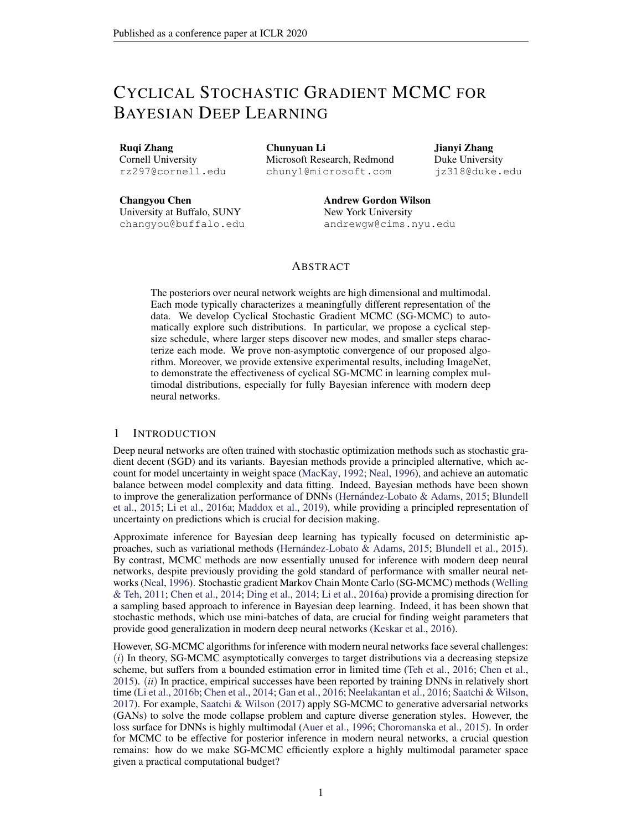The last line follows the fact that  $((s)) = L(V(s))$ ; 8s. The last line follows in a k and we can use the martingale property of the integral to derive:<br>Then we will lett =  $\sum_{k=1}^{K} k_k$  and we can use the martingale property of the integral to derive:

D<sub>KL</sub> 
$$
(P_V^{k=1} * kP^{P_{k=1}^{K}})
$$
  
\n
$$
= \frac{1}{4} \int_{j=0}^{k} \int_{k=1}^{k+1} \int_{k=1}^{k} Ekr U((s)) G_s((s))k^2 ds
$$
\n
$$
\frac{1}{2} \int_{j=0}^{k} \int_{k=1}^{k+1} \int_{k=1}^{k} Ekr U((s)) r U((s)) k^2 ds
$$
\n
$$
+ \frac{1}{2} \int_{j=0}^{k} \int_{k=1}^{k} Ekr U((s)) r U((s)) g(s)(s) ds
$$
\n
$$
+ \frac{1}{2} \int_{j=0}^{k} \int_{k=1}^{k} Ekr U((s)) G_s((s))k^2 ds
$$
\n
$$
\frac{1}{2} \int_{j=0}^{k} \int_{k=1}^{k} Ekr U((s)) G_s((s))k^2 ds
$$
\n
$$
+ \frac{1}{2} \int_{j=0}^{k} \int_{k=1}^{k+1} \int_{k=1}^{k} Ek(s) U((s)) k^2 ds
$$
\n
$$
+ \frac{1}{2} \int_{j=0}^{k} \int_{k=1}^{k} Ekr U((s)) G_s((s))k^2 ds
$$
\n
$$
+ \frac{1}{2} \int_{j=0}^{k} \int_{k=1}^{k} Ekr U((s)) G_s((s)) k^2 ds
$$
\n
$$
+ \frac{1}{2} \int_{j=0}^{k} \int_{k=1}^{k} Ekr U((s)) G_s((s)) k^2 ds
$$
\n
$$
+ \frac{1}{2} \int_{k=1}^{k} \int_{k=1}^{k} Ekr U((s)) G_s((s)) k^2 ds
$$
\n
$$
+ \frac{1}{2} \int_{k=1}^{k} \int_{k=1}^{k} Ekr U((s)) G_s((s)) k^2 ds
$$
\n
$$
+ \frac{1}{2} \int_{k=1}^{k} \int_{k=1}^{k} Ekr U((s)) K^2 ds
$$
\n
$$
+ \frac{1}{2} \int_{k=1}^{k} \int_{k=1}^{k} Ekr U((s)) K^2 ds
$$
\n
$$
+ \frac{1}{2} \int_{k
$$

For the rst part (14), we consider sonse  $\begin{bmatrix} P_{i} & P_{i+1} & \dots & P_{k-1} & k \end{bmatrix}$ , for which the following holds:

k=1

k=1

$$
\begin{array}{lll}\n\mathbf{X} & & & \\
\mathbf{X} & & & \\
\mathbf{X} & & & \\
\mathbf{X} & & & \\
\mathbf{X} & & & \\
\mathbf{X} & & & \\
\mathbf{X} & & & \\
\mathbf{X} & & & \\
\mathbf{X} & & & \\
\mathbf{X} & & & \\
\mathbf{X} & & & \\
\mathbf{X} & & & \\
\mathbf{X} & & & \\
\mathbf{X} & & & \\
\mathbf{X} & & & \\
\mathbf{X} & & & \\
\mathbf{X} & & & \\
\mathbf{X} & & & \\
\mathbf{X} & & & \\
\mathbf{X} & & & \\
\mathbf{X} & & & \\
\mathbf{X} & & & \\
\mathbf{X} & & & \\
\mathbf{X} & & & \\
\mathbf{X} & & & \\
\mathbf{X} & & & \\
\mathbf{X} & & & \\
\mathbf{X} & & & \\
\mathbf{X} & & & \\
\mathbf{X} & & & \\
\mathbf{X} & & & \\
\mathbf{X} & & & \\
\mathbf{X} & & & \\
\mathbf{X} & & & \\
\mathbf{X} & & & \\
\mathbf{X} & & & \\
\mathbf{X} & & & \\
\mathbf{X} & & & \\
\mathbf{X} & & & \\
\mathbf{X} & & & \\
\mathbf{X} & & & \\
\mathbf{X} & & & \\
\mathbf{X} & & & \\
\mathbf{X} & & & \\
\mathbf{X} & & & \\
\mathbf{X} & & & \\
\mathbf{X} & & &
$$

Thus, we can use Lemma 3.1 and 3.2 in Raginsky et al. (2017) for the following result:

Ek<sub>2</sub>(s) 
$$
\int_{k=1}^{N} k^2
$$
 3  $\int_{j+1}^{2} Ekr U(j)k^2 + 3 \int_{j+1}^{2} Ekr U(j) r U_j(j)k^2 + 6 j+1 d$   
12  $\int_{j+1}^{2} (L_U^2 Ek jk^2 + B^2) + 6 j+1 d$ 

Hence we can bound the rst part, (choosing 1),

$$
\frac{L_{\rm U}^{2}}{2} \sum_{j=0}^{i} \sum_{k=1}^{p} \sum_{k=1}^{i} k \sum_{k=1}^{i} (s) - \sum_{k=1}^{i} (s) \sum_{k=1}^{i} (s) \sum_{k=1}^{i} (s) \sum_{k=1}^{i} (s) \sum_{k=1}^{i} (s) \sum_{k=1}^{i} (s) \sum_{k=1}^{i} (s) \sum_{k=1}^{i} (s) \sum_{k=1}^{i} (s) \sum_{k=1}^{i} (s) \sum_{k=1}^{i} (s) \sum_{k=1}^{i} (s) \sum_{k=1}^{i} (s) \sum_{k=1}^{i} (s) \sum_{k=1}^{i} (s) \sum_{k=1}^{i} (s) \sum_{k=1}^{i} (s) \sum_{k=1}^{i} (s) \sum_{k=1}^{i} (s) \sum_{k=1}^{i} (s) \sum_{k=1}^{i} (s) \sum_{k=1}^{i} (s) \sum_{k=1}^{i} (s) \sum_{k=1}^{i} (s) \sum_{k=1}^{i} (s) \sum_{k=1}^{i} (s) \sum_{k=1}^{i} (s) \sum_{k=1}^{i} (s) \sum_{k=1}^{i} (s) \sum_{k=1}^{i} (s) \sum_{k=1}^{i} (s) \sum_{k=1}^{i} (s) \sum_{k=1}^{i} (s) \sum_{k=1}^{i} (s) \sum_{k=1}^{i} (s) \sum_{k=1}^{i} (s) \sum_{k=1}^{i} (s) \sum_{k=1}^{i} (s) \sum_{k=1}^{i} (s) \sum_{k=1}^{i} (s) \sum_{k=1}^{i} (s) \sum_{k=1}^{i} (s) \sum_{k=1}^{i} (s) \sum_{k=1}^{i} (s) \sum_{k=1}^{i} (s) \sum_{k=1}^{i} (s) \sum_{k=1}^{i} (s) \sum_{k=1}^{i} (s) \sum_{k=1}^{i} (s) \sum_{k=1}^{i} (s) \sum_{k=1}^{i} (s) \sum_{k=1}^{i} (s) \sum_{k=1}^{i} (s) \sum_{k=1}^{i} (
$$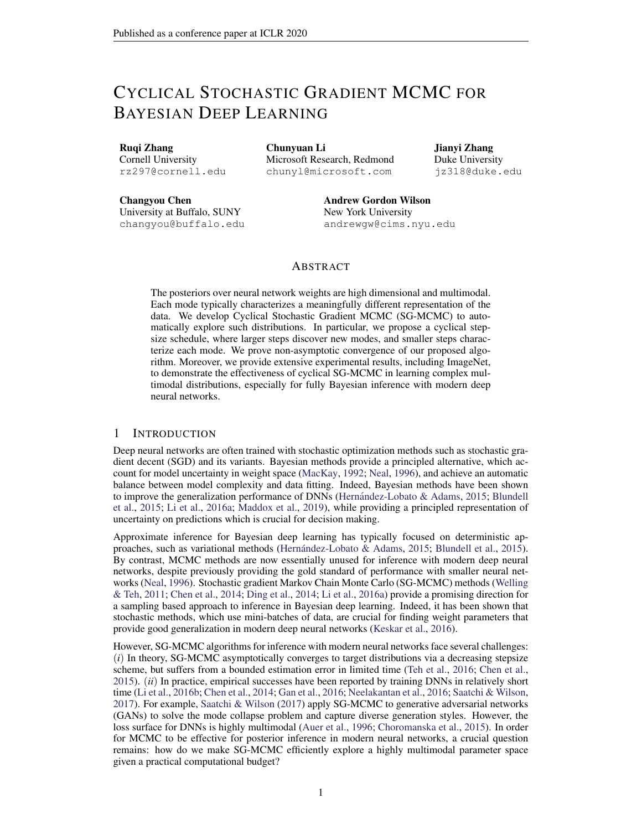The last line (17) follows from equation 6. The second part (15) can be bounded as follows:

$$
\frac{1}{2} \sum_{j=0}^{K} \sum_{k=1}^{P} \sum_{k=1}^{i+1} \sum_{k=1}^{K} \text{Ekr } U((-i) \text{ i}) \text{ } G_{s}((-i) \text{ i})k^{2} \text{ } dS
$$
\n
$$
= \frac{1}{2} \sum_{j=0}^{K} \sum_{j=1}^{i+1} \text{Ekr } U(-j) \text{ r } U(-j)k^{2}
$$
\n
$$
\sum_{j=0}^{K} \sum_{j=0}^{K} \sum_{j=0}^{K} \sum_{j=0}^{i+1} \sum_{j=0}^{K} \sum_{j=0}^{i+1} \sum_{j=0}^{K} \sum_{j=0}^{K} \sum_{k=0}^{K} \sum_{j=0}^{K} \sum_{k=0}^{K} \sum_{j=0}^{K} \sum_{k=0}^{K} \sum_{j=0}^{K} \sum_{j=0}^{K} \sum_{j=0}^{K} \sum_{j=0}^{K} \sum_{j=0}^{K} \sum_{j=0}^{K} \sum_{j=0}^{K} \sum_{j=0}^{K} \sum_{j=0}^{K} \sum_{j=0}^{K} \sum_{j=0}^{K} \sum_{j=0}^{K} \sum_{j=0}^{K} \sum_{j=0}^{K} \sum_{j=0}^{K} \sum_{j=0}^{K} \sum_{j=0}^{K} \sum_{j=0}^{K} \sum_{j=0}^{K} \sum_{j=0}^{K} \sum_{j=0}^{K} \sum_{j=0}^{K} \sum_{j=0}^{K} \sum_{j=0}^{K} \sum_{j=0}^{K} \sum_{j=0}^{K} \sum_{j=0}^{K} \sum_{j=0}^{K} \sum_{j=0}^{K} \sum_{j=0}^{K} \sum_{j=0}^{K} \sum_{j=0}^{K} \sum_{j=0}^{K} \sum_{j=0}^{K} \sum_{j=0}^{K} \sum_{j=0}^{K} \sum_{j=0}^{K} \sum_{j=0}^{K} \sum_{j=0}^{K} \sum_{j=0}^{K} \sum_{j=0}^{K} \sum_{j=0}^{K} \sum_{j=0}^{K} \sum_{j=0}^{K} \sum_{j=0}^{K} \sum_{j=0}^{K} \sum_{j=
$$

Due to the data-processing inequality for the relative entropy, we have

D<sub>KL</sub> ( 
$$
\kappa
$$
 k P<sub>K=1</sub>  $\kappa$ ) D<sub>KL</sub> (P<sub>V</sub><sup>t</sup> kP<sup>t</sup>)  
\n
$$
\frac{L_{U}^{2}}{2} \sum_{j=0}^{i} \sum_{k=1}^{P} \sum_{k=1}^{i+1} \kappa
$$
 g(s)  $\int_{k=1}^{i} \kappa$  jk<sup>2</sup>ds  
\n $+ \frac{1}{2} \sum_{j=0}^{i} \sum_{k=1}^{P} \sum_{k=1}^{i+1} \kappa$  Ekr U( $\int_{k=1}^{i} \sum_{k=1}^{i} \kappa$  g(s)  $\int_{k=1}^{i} \kappa$  g(s)  
\n $L_{U_{0}}^{2}$  max  $\int_{i}^{2} 6(L_{U}^{2} Ek j k^{2} + B^{2}) + 3d \frac{3}{8} \frac{3}{8} \kappa$   
\n $+ \sum_{i}^{2} \sum_{j=0}^{i} \sum_{k=1}^{i} \kappa$  g(t)  $\frac{3}{8} \frac{3}{8} \kappa$ 

According to the proof of Lemma 3.2 in Raginsky et al. (2017), we can bound the Ettergite<sup>2</sup>

$$
\mathsf{Ek}_{k+1} \, k^2 \quad \, (1 \quad 2_{k+1} \, m_U + 4 \, \, \tfrac{2}{k+1} \, M_U^2) \mathsf{Ek}_{k} \, k^2 + 2 \, \, k+1 \, b+4 \, \, \tfrac{2}{k+1} \, B^2 + \frac{2 \, \, k+1 \, d}{k+1}
$$

Similar to the statement of Lemma 3.2 in Raginsky et al. (2017), we can<sub>0</sub>  $\mathcal{L}$  (0; 1 ^  $\frac{m_V}{4M_U^2}$ ). Then, we can know that  $2<sub>o</sub>$ 

$$
Ek_{k+1}k^{2} (1 2 min_{min} m_{U} + 4 \frac{2}{min} M_{U}^{2})Ek_{k}k^{2} + 2 {}_{0}b + 4 \frac{2}{0}B^{2} + \frac{2}{0} \frac{d^{2}}{d^{2}}
$$
 (18)  
\nh  
\n, where min is de ned as min ,  $\frac{0}{2}$  cos  $\frac{mod dK=M e 1; dK=M e}{dK=M e}$  + 1.

There are two cases to consider.

If 1 2 min 
$$
m_U + 4 \frac{2}{min} M_U^2
$$
 0, then from equation 18 it follows that  
\nEk<sub>k+1</sub>k<sup>2</sup> 2<sub>0</sub>b+4<sup>2</sup><sub>0</sub>B<sup>2</sup> +  $\frac{2}{}$ <sub>0</sub>d  
\nEk<sub>0</sub>k<sup>2</sup> + 2(b+2B<sup>2</sup> +  $\frac{d}{d}$ )

If 0 1 2 min m<sub>U</sub> + 4 
$$
\frac{2}{\text{min}} M_U^2
$$
 1, then iterating equation 18 gives  
\nEk<sub>k</sub>k<sup>2</sup> (1 2 min m<sub>U</sub> + 4  $\frac{2}{\text{min}} M_U^2$ )<sup>k</sup>Ek<sub>0</sub>k<sup>2</sup> +  $\frac{0b+2}{\text{min}} \frac{\partial B^2 + \frac{0d}{\text{min}}}{\partial M_U^2}$  (19)

$$
\frac{Ek_0k^2 + \frac{2}{m_U \min} (b + 2B^2 + \frac{d}{m})}{(20)}
$$

<sup>&</sup>lt;sup>2</sup>Note: we only focus on the case when mod  $M = 0$ .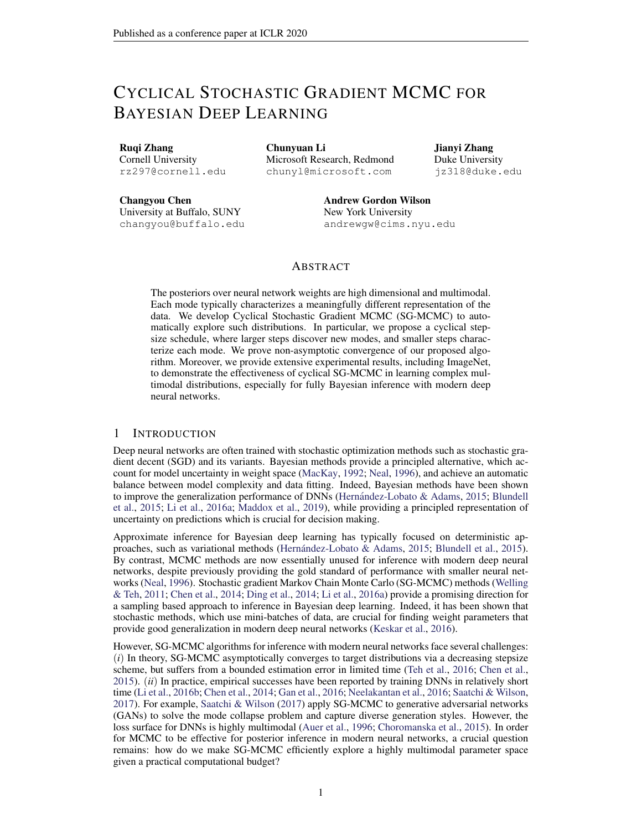Now, we have

$$
\max_{0 \ j \ K} (L_0^2 E k_j k^2 + B^2)
$$
  

$$
(L_0^2 (\ _0 + 2(1 \wedge \frac{0}{m_U \ m_i}) (b + 2B^2 + d)) + B^2) := C_0
$$

Due to the expression of  $_{min}^{\circ}$ , C<sub>0</sub> is independent of <sub>0</sub>. Then we denote the  $_{0}^{2}(C_{0} + d)$  as C<sub>1</sub> and we can derive

D<sub>KL</sub> ( 
$$
\kappa
$$
 k P<sub>K=1</sub>  $\kappa$ )  $C_1(\frac{3\frac{2}{0}K}{8})$  +  $C_0(\frac{K_0}{2})$ 

Then according to Proposition 3.1 in Bolley & Villani (2005) and Lemma 3.3 in Raginsky et al. (2017), if we denote  $_0 + 2b + 2d$  as  $C_2$ , we can derive the following result:

$$
W_{2}(\kappa; P_{K_{-1} - K_{-k}}) = (12 + C_{2}(\kappa))^{\frac{1}{2}} [D_{KL}(\kappa K P_{K_{-1} - K_{-k}})^{\frac{1}{2}} + D_{KL}(\kappa K P_{K_{-1} - K_{-k}})^{\frac{1}{4}}]
$$
  

$$
(12 + \frac{C_{2}K_{-0}}{2})^{\frac{1}{2}} [(\frac{3C_{1} - 2}{8}K + \frac{KC_{0} - 0}{2})^{\frac{1}{2}} + (\frac{3C_{1} - 2}{16}K + \frac{KC_{0} - 0}{4})^{\frac{1}{4}}]
$$

D.2  $W_2$ ( $\begin{array}{cc} P_{\kappa} & , & 1 \end{array}$ )

We can directly get the following results from  $(3.17)$  in Raginsky et al. (2017) that there exist some positive constant $(C_3; C_4)$ ,

$$
W_2(\begin{array}{cc} P_{\kappa} & , & 1 \end{array}) \quad C_3 \exp(\begin{array}{cc} X & \\ & k=C_4 \end{array})
$$

Now combining the bounds for  $W_2$  ( $\kappa$ ;  $P_{\kappa}$   $\kappa$ ) and  $W_2$  ( $P_{\kappa}$   $\kappa$ ,  $\kappa$ ), substituting  $\kappa$  = O(1=K), and noting  $W_2$ ( $P_{\kappa}$ <sub>k=1k</sub>; <sub>1</sub>) decreases w.r.t.K, we arrive at the bound stated in the theorem.

 $\Box$ 

# E RELATION WITH SGLD

For the standard polynomially-decay-stepsize SGLD, the convergence rate is bounded as

$$
W_{2}(\sim_{K}; 1) \qquad W_{2}(\sim_{K}; \, P_{K \atop k=1}^{K} h_{k}) + W_{2}(\, P_{K \atop k=1}^{K} h_{k}; 1) \qquad (21)
$$
\n
$$
\text{where} W_{2}(\sim_{K}; \, P_{K \atop k=1}^{K} h_{k}) \qquad (6 + h_{0} \, P_{K-1} \, \frac{1}{k})^{\frac{1}{2}} \qquad (6 + h_{0} \, P_{K-1} \, \frac{1}{k})^{\frac{1}{2}} \qquad (6 + h_{0} \, P_{K-1} \, \frac{1}{k})^{\frac{1}{2}} \qquad (6 + h_{0} \, P_{K-1} \, \frac{1}{k})^{\frac{1}{2}} \qquad (6 + h_{0} \, P_{K-1} \, \frac{1}{k})^{\frac{1}{2}} \qquad (6 + h_{0} \, P_{K-1} \, \frac{1}{k})^{\frac{1}{2}} \qquad (6 + h_{0} \, P_{K-1} \, \frac{1}{k})^{\frac{1}{2}} \qquad (6 + h_{0} \, P_{K-1} \, \frac{1}{k})^{\frac{1}{2}} \qquad (6 + h_{0} \, P_{K-1} \, \frac{1}{k})^{\frac{1}{2}} \qquad (6 + h_{0} \, P_{K-1} \, \frac{1}{k})^{\frac{1}{2}} \qquad (6 + h_{0} \, P_{K-1} \, \frac{1}{k})^{\frac{1}{2}} \qquad (6 + h_{0} \, P_{K-1} \, \frac{1}{k})^{\frac{1}{2}} \qquad (6 + h_{0} \, P_{K-1} \, \frac{1}{k})^{\frac{1}{2}} \qquad (6 + h_{0} \, P_{K-1} \, \frac{1}{k})^{\frac{1}{2}} \qquad (6 + h_{0} \, P_{K-1} \, \frac{1}{k})^{\frac{1}{2}} \qquad (6 + h_{0} \, P_{K-1} \, \frac{1}{k})^{\frac{1}{2}} \qquad (6 + h_{0} \, P_{K-1} \, \frac{1}{k})^{\frac{1}{2}} \qquad (6 + h_{0} \, P_{K-1} \, \frac{1}{k})^{\frac{1}{2}} \qquad (6 + h_{0} \
$$

Proof of the bound  $\frac{dW_2(x_{K}; 1)}{dx_{K}}$  in the standard SGLD Similar to the proof of  $W_2(x_{K}; 1)$  in cSGLD, we get the following update rule for SGLD with the stepsize following a polynomial decay i.e.,  $h_k = \frac{h_0}{k}$ ,

$$
k_{k+1} = k r U_{k} (k) h_{k+1} + \frac{p}{2h_{k+1}} h_{k+1}
$$
 (22)

Let  $\sim_k$  denote the distribution of<sub>k</sub>.

**Since** 

$$
W_2(\sim_K; 1)
$$
  $W_2(\sim_K; P_{K_{n1} h_k}) + W_2(P_{K_{n1} h_k}; 1)$  (23)

, we need to give the bounds for these two parts respectively.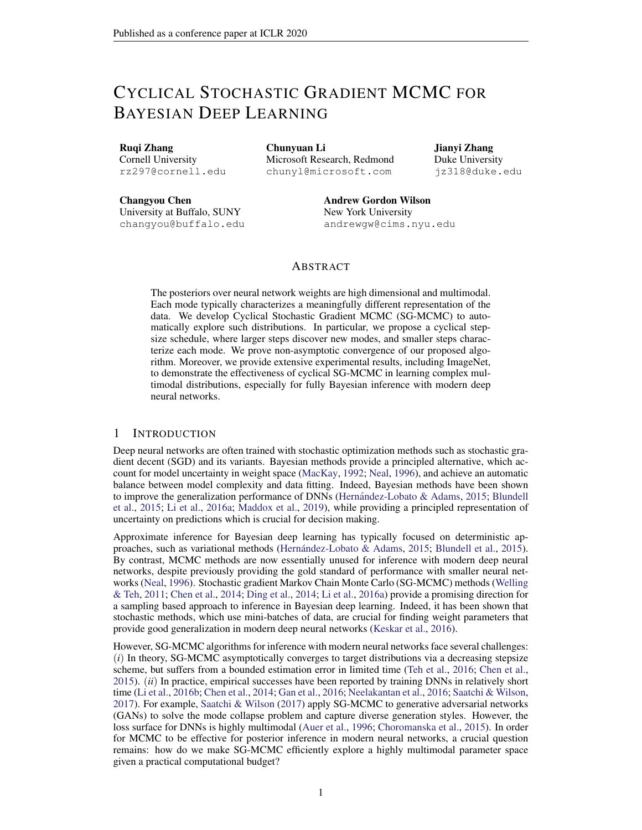E.1 
$$
W_2(\sim_K; P_{K_{n+1} h_k})
$$

We rst assume E(r  $U(w)$ ) = r U(w); 8w 2 R<sup>d</sup>; which is a general assumption according to the way we choose the minibatch. Following the proof in Raginsky et al. (2017) and the analysis of the SPOS method in Zhang et al. (2018), we de ne the followpi(to which will be used in the following proof:

$$
p(t) = f k 2 Zj^{k} h_i t < \sum_{i=1}^{k+1} h_i g
$$
 (24)

Then we focus on the following continuous-time interpolation  $\alpha$  is

$$
I(t) = \begin{bmatrix} 2 & 0 & 1 \\ 0 & r & 0 \end{bmatrix} \begin{bmatrix} 8^{(s)} & 1 \\ 8^{(s)} & 1 \end{bmatrix} \begin{bmatrix} 2 & 1 \\ 8 & 1 \end{bmatrix} \begin{bmatrix} 2 & 1 \\ 0 & 0 \end{bmatrix} \begin{bmatrix} 2 & 1 \\ 0 & 0 \end{bmatrix} \begin{bmatrix} 2 & 1 \end{bmatrix}
$$
 (25)

(26)

wherer  $\forall$  r  $\forall$ <sub>k</sub> for t 2  $\sum_{i=1}^{h_p}$   $\sum_{j=1}^{k+1}$   $h_i$  . And for eachk ,  $\sum_{i=1}^{k}$   $\sum_{j=1}^{k}$   $h_i$  and  $\sum_{k}$  have the same probability law- $k$ .

Since\_(t) is not a Markov process, we de ne the following process which has the same one-time marginals  $as(t)$ 

$$
V(t) = \int_{0}^{Z} G_{s} (V(s)) ds + \frac{p}{2} \int_{0}^{Z} dW_{s}^{(d)} \qquad (27)
$$

with

$$
2 \t 0 \t 1 \t 3
$$
  
\n
$$
G_t(x) := E^4 r \cup \bigcirc (28)
$$
  
\n
$$
G_{t+1}(x) := E^4 r \cup \bigcirc (28)
$$

Let  $P_V^t := L(V(s): 0 \text{ s } t)$  and  $P^t := L((s): 0 \text{ s } t)$  and according to the proof of Lemma 3.6 in Raginsky et al. (2017), we can derive the similar result for the relative entr**B** $\phi$ y of and $\mathsf{P}^{\mathsf{t}}$  :

$$
D_{KL} (P_V^t k P^t) = \begin{cases} Z & dP_V^t \log \frac{dP_V^t}{dP^t} \\ = \frac{1}{4} Z_t^t & \text{Ekr } U(V(s)) & G_s(V(s))k^2 ds \\ = \frac{1}{4} Z_t^0 & \text{Ekr } U(\underline{ } (s)) & G_s(\underline{ } (s))k^2 ds \end{cases}
$$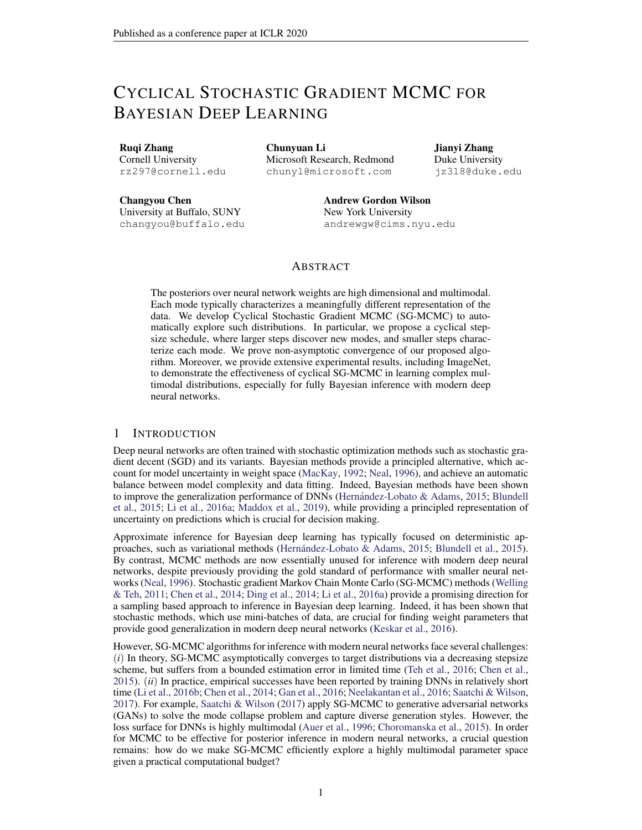The last line follows the fact that  $((s)) = L(V(s))$ ; 8s. The last line follows in a call that  $\frac{1}{k-1}$  by  $\frac{1}{k}$  and we can use the martingale property of integral to derive:

D<sub>KL</sub> (P<sub>V</sub><sup>k=1</sup> h<sub>k</sub> RP<sup>R</sup><sub>k=1</sub> h<sub>k</sub>  
\n=
$$
\frac{1}{4}
$$
  $\frac{1}{p}$   $\frac{1}{k+1}$  h<sub>k</sub>  
\n= $\frac{1}{4}$   $\frac{1}{p}$   $\frac{1}{k+1}$  h<sub>k</sub>  
\n $\frac{1}{2}$   $\frac{1}{p}$   $\frac{1}{k+1}$  h<sub>k</sub>  
\n $\frac{1}{p}$   $\frac{1}{p}$   $\frac{1}{k+1}$  h<sub>k</sub>  
\n $\frac{1}{p}$   $\frac{1}{p}$   $\frac{1}{k+1}$  h<sub>k</sub>  
\n $\frac{1}{p}$   $\frac{1}{p}$   $\frac{1}{k+1}$  h<sub>k</sub>  
\n $\frac{1}{p}$   $\frac{1}{p}$   $\frac{1}{k+1}$  h<sub>k</sub>  
\n $\frac{1}{p}$   $\frac{1}{p}$   $\frac{1}{k+1}$  h<sub>k</sub>  
\n $\frac{1}{p}$   $\frac{1}{p}$   $\frac{1}{k+1}$  h<sub>k</sub>  
\n $\frac{1}{p}$   $\frac{1}{p}$   $\frac{1}{p}$   $\frac{1}{k+1}$  h<sub>k</sub>  
\n $\frac{1}{p}$   $\frac{1}{p}$   $\frac{1}{p}$   $\frac{1}{p}$   $\frac{1}{p}$   $\frac{1}{p}$   $\frac{1}{p}$   $\frac{1}{p}$   $\frac{1}{p}$   $\frac{1}{p}$   $\frac{1}{p}$   $\frac{1}{p}$   $\frac{1}{p}$   $\frac{1}{p}$   $\frac{1}{p}$   $\frac{1}{p}$   $\frac{1}{p}$   $\frac{1}{p}$   $\frac{1}{p}$   $\frac{1}{p}$   $\frac{1}{p}$   $\frac{1}{p}$   $\frac{1}{$ 

For the rst part (29), we consider sonse  $\left[\begin{array}{cc} P_{j_{k=1}} & h_k \\ h_{k+1} & h_k \end{array}\right]$ , the following equation holds:

k=1

k=1

$$
\begin{array}{lll}\n\mathbf{X} & \mathbf{X} \\
\mathbf{X} & \mathbf{X} \\
\mathbf{X} & \mathbf{X} \\
\mathbf{X} & \mathbf{X} \\
\mathbf{X} & \mathbf{X} \\
\mathbf{X} & \mathbf{X} \\
\mathbf{X} & \mathbf{X} \\
\mathbf{X} & \mathbf{X} \\
\mathbf{X} & \mathbf{X} \\
\mathbf{X} & \mathbf{X} \\
\mathbf{X} & \mathbf{X} \\
\mathbf{X} & \mathbf{X} \\
\mathbf{X} & \mathbf{X} \\
\mathbf{X} & \mathbf{X} \\
\mathbf{X} & \mathbf{X} \\
\mathbf{X} & \mathbf{X} \\
\mathbf{X} & \mathbf{X} \\
\mathbf{X} & \mathbf{X} \\
\mathbf{X} & \mathbf{X} \\
\mathbf{X} & \mathbf{X} \\
\mathbf{X} & \mathbf{X} \\
\mathbf{X} & \mathbf{X} \\
\mathbf{X} & \mathbf{X} \\
\mathbf{X} & \mathbf{X} \\
\mathbf{X} & \mathbf{X} \\
\mathbf{X} & \mathbf{X} \\
\mathbf{X} & \mathbf{X} \\
\mathbf{X} & \mathbf{X} \\
\mathbf{X} & \mathbf{X} \\
\mathbf{X} & \mathbf{X} \\
\mathbf{X} & \mathbf{X} \\
\mathbf{X} & \mathbf{X} \\
\mathbf{X} & \mathbf{X} \\
\mathbf{X} & \mathbf{X} \\
\mathbf{X} & \mathbf{X} \\
\mathbf{X} & \mathbf{X} \\
\mathbf{X} & \mathbf{X} \\
\mathbf{X} & \mathbf{X} \\
\mathbf{X} & \mathbf{X} \\
\mathbf{X} & \mathbf{X} \\
\mathbf{X} & \mathbf{X} \\
\mathbf{X} & \mathbf{X} \\
\mathbf{X} & \mathbf{X} \\
\mathbf{X} & \mathbf{X} \\
\mathbf{X} & \mathbf{X} \\
\mathbf{X} & \mathbf{X} \\
\mathbf{X} & \mathbf{X} \\
\mathbf{X} & \mathbf{X} \\
\mathbf{X} & \mathbf{X} \\
\mathbf{X} & \mathbf{X} \\
\mathbf{X} & \mathbf{X} \\
\mathbf{X} & \mathbf{X} \\
\mathbf{X} & \mathbf{X} \\
\mathbf{X} & \math
$$

Thus, we can use Lemma 3.1 and 3.2 in Raginsky et al. (2017) for the following result:

$$
Ek_{(s)} \n\begin{array}{ll}\n\chi & \n\chi & \n\chi & \n\chi & \n\chi & \n\chi & \n\chi & \chi & \n\chi & \chi & \chi & \n\chi & \chi & \chi & \chi & \n\chi & \chi & \chi & \chi & \chi & \chi \\
\chi & \chi & \chi & \chi & \chi & \chi & \chi & \chi & \chi \\
\chi & \chi & \chi & \chi & \chi & \chi & \chi & \chi & \chi \\
\chi & \chi & \chi & \chi & \chi & \chi & \chi & \chi & \chi\n\end{array}
$$

Hence we can bound the rst part, (choosimg 1),

$$
\frac{L_{U}^{2}}{2} \sum_{j=0}^{K} \sum_{k=1}^{12} \frac{P_{i+1}}{h_{k}} E_{K}(s) \quad (h_{k})k^{2}ds
$$
\n
$$
\frac{L_{U}^{2}}{2} \sum_{j=0}^{K} \frac{12h_{j+1}^{3}}{12h_{j+1}^{3}} (L_{U}^{2} E_{K} i k^{2} + B^{2}) + 6h_{j+1}^{2} d
$$
\n
$$
L_{U}^{2} \max_{j=0} \max_{j=0}^{K} 6(L_{U}^{2} E_{K} i k^{2} + B^{2}) + 3d \left(\frac{K}{h_{j+1}^{2}}\right)
$$
\n
$$
L_{U}^{2} \max_{j=0} \max_{j=0}^{K} 6(L_{U}^{2} E_{K} i k^{2} + B^{2}) + 3d \frac{2}{6}h_{0}^{2}
$$
\n(32)

where the last line follows from the fact that

$$
\frac{4x + 1}{(j+1)^3} \frac{4x + 1}{(j+1)^2} \frac{4x + 1}{(j+1)^2} \frac{4x + 1}{(j+1)^2} = \frac{2}{6}:
$$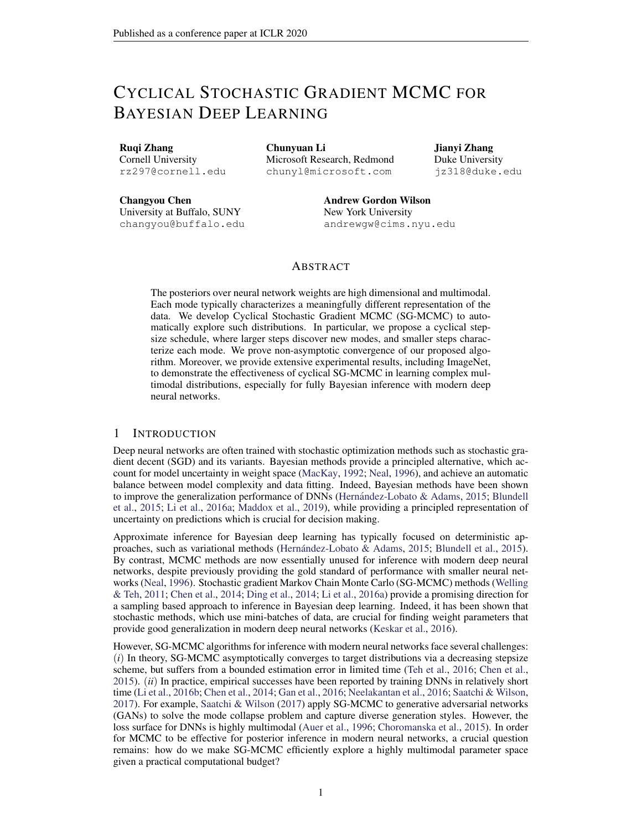The second part (30) can be bounded as follows:

$$
\frac{1}{2} \sum_{j=0}^{4} \sum_{k=1}^{4} \sum_{h_k}^{4} \sum_{k=1}^{4} \sum_{k=1}^{4} k \sum_{k=1}^{4} \sum_{k=1}^{4} \sum_{k=1}^{4} \sum_{k=1}^{4} \sum_{k=1}^{4} \sum_{j=0}^{4} \sum_{j=0}^{4} \sum_{j=0}^{4} \sum_{j=0}^{4} \sum_{j=0}^{4} \sum_{j=0}^{4} \sum_{j=0}^{4} \sum_{j=0}^{4} \sum_{j=0}^{4} \sum_{j=0}^{4} \sum_{j=0}^{4} \sum_{j=0}^{4} \sum_{j=0}^{4} \sum_{j=1}^{4} \sum_{j=1}^{4} \sum_{j=1}^{4} \sum_{j=1}^{4} \sum_{j=1}^{4} \sum_{j=1}^{4} \sum_{j=1}^{4} \sum_{j=1}^{4} \sum_{j=1}^{4} \sum_{j=1}^{4} \sum_{j=1}^{4} \sum_{j=1}^{4} \sum_{j=1}^{4} \sum_{j=1}^{4} \sum_{j=1}^{4} \sum_{j=1}^{4} \sum_{j=1}^{4} \sum_{j=1}^{4} \sum_{j=1}^{4} \sum_{j=1}^{4} \sum_{j=1}^{4} \sum_{j=1}^{4} \sum_{j=1}^{4} \sum_{j=1}^{4} \sum_{j=1}^{4} \sum_{j=1}^{4} \sum_{j=1}^{4} \sum_{j=1}^{4} \sum_{j=1}^{4} \sum_{j=1}^{4} \sum_{j=1}^{4} \sum_{j=1}^{4} \sum_{j=1}^{4} \sum_{j=1}^{4} \sum_{j=1}^{4} \sum_{j=1}^{4} \sum_{j=1}^{4} \sum_{j=1}^{4} \sum_{j=1}^{4} \sum_{j=1}^{4} \sum_{j=1}^{4} \sum_{j=1}^{4} \sum_{j=1}^{4} \sum_{j=1}^{4} \sum_{j=1}^{4} \sum_{j=1}^{4} \sum_{j=1}^{4} \sum_{j=1}^{4} \sum_{j=1}^{4} \sum_{j=1}^{4} \sum_{j=1}^{4} \sum_{j=1}^{4} \sum_{
$$

Due to the data-processing inequality for the relative entropy, we have

 $D_{\mathsf{KL}}$  (~ $\kappa$  k  $P_{\kappa_{n+1} h_k}$ )  $D_{\mathsf{KL}}$  ( $P_{\mathsf{V}}^{\mathsf{t}}$  k  $P^{\mathsf{t}}$ )  $\mathsf{L}^2_\mathsf{U}$ 2 <sup>K</sup>X <sup>1</sup> j =0  $Z$  P  $_{_{\rm k=1}^{+1}$  h<sub>k</sub>  $P_{\stackrel{j}{k=1}}$  h<sub>k</sub>  $Ek_{s}$ (s)  $($ q(s) X k=1 h<sub>i</sub>) $k^2$ ds  $+\frac{1}{2}$ 2 <sup>K</sup>X <sup>1</sup> j =0  $Z$  P  $_{_{\mathrm{K=1}}}^{\mathrm{+1}}$  h<sub>k</sub>  $P_{\stackrel{j}{k=1}}$  h<sub>k</sub> Ekr  $U($ q(s) X k=1 h<sub>i</sub>)  $G_s($  ( q(s) X k=1 h<sub>i</sub>) $k^2$ ds  $L_{U_0}^2$  max 6( $L_U^2$ Ek j k<sup>2</sup> + B<sup>2</sup>) + 3 d  $\frac{2}{6}$  $\overline{6}$  h<sub>0</sub><sup>2</sup> + max ( $L_U^2 Ek$  j k<sup>2</sup> + B<sup>2</sup>)(h<sub>0</sub> XK j =1 1 .<br>j )

Similar to the proof of cSGLD , we have

$$
\max_{0 \ j \ K} (L^2 \ E k \ j k^2 + B^2) \ D_0
$$

Then we denote th**e**L $_{0}^{2}$ (D<sub>0</sub> + d) asD<sub>1</sub> and we can derive

D<sub>KL</sub> 
$$
(-_{K} k P_{K-1 h_{k}}) D_{1} h_{0}^{2} \frac{2}{6} + D_{0} h_{0} \frac{X}{j-1} \frac{1}{j}
$$

Then according to Proposition 3.1 in Bolley & Villani (2005) and Lemma 3.3 in Raginsky et al. (2017), if we denote  $_0 + 2b + 2d$  as  $D_2$ , we can derive the following result,

$$
W_{2}(\sim_{K}; P_{K_{-1} h_{k}})
$$
\n
$$
W_{2}(\sim_{K}; P_{K_{-1} h_{k}})
$$
\n
$$
W_{k=1}^{X}
$$
\n
$$
= [12 + D_{2}(h_{0} \sum_{j=1}^{K} \frac{1}{j})]^{1=2} [(D_{KL}(\sim_{K} k P_{K_{-1} h_{k}}))^{1=2} + (D_{KL}(\sim_{K} k P_{K_{-1} h_{k}}) = 2)^{1=4}]
$$
\n
$$
= [12 + D_{2}(h_{0} \sum_{j=1}^{K} \frac{1}{j})]^{1=2} [(D_{1}h_{0}^{2} \frac{2}{6} + D_{0}h_{0} \sum_{j=1}^{K} \frac{1}{j})^{1=2} + (D_{1}h_{0}^{2} \frac{2}{12} + D_{0}h_{0} \sum_{j=1}^{K} \frac{1}{2j})^{1=4}]
$$

Now we derive the bound fd $\mathcal{N}_2(\sim_K\,;\begin{array}{cc} \mathsf{P}_{\;\mathsf{K}_{-1}\;\; \mathsf{h}_k}\end{array}).$ 

 $E.2 W_2(P_{\kappa \atop k=1}^K h_k; 1)$ 

We can directly get the following results from (3.17) in Raginsky et al. (2017) that there exist some positive constant $(C_3; C_4)$ ,

$$
W_2(\begin{array}{cc} P_{K} & \ \\ k=1 & h_K \\ \end{array}; 1) \quad C_3 \exp(\begin{array}{cc} X & \ \\ k=1 & h_K = C_4 \\ \end{array})
$$

 $\Box$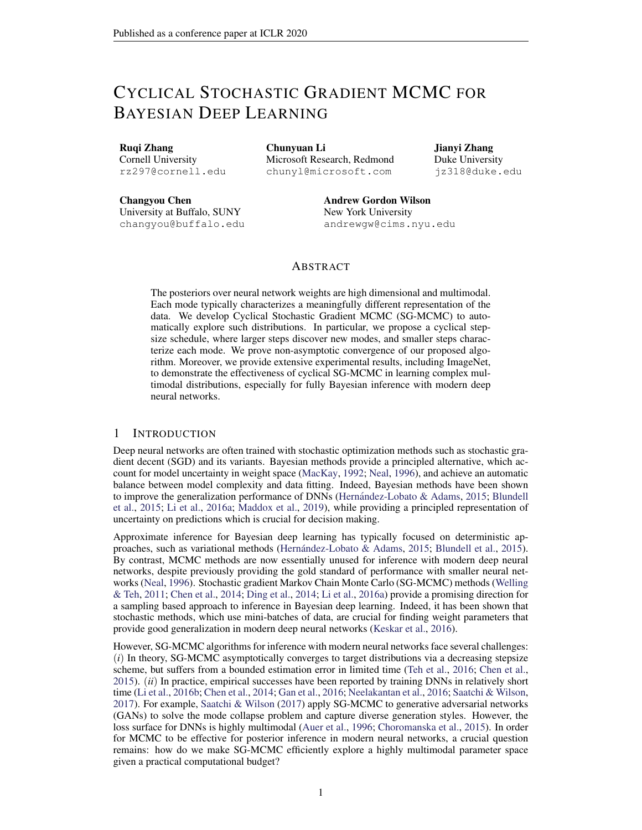Based on the convergence error bounds, we discuss an informal comparison with standard SGLD. Consider the following two cases.We must emphasize that since the  $\texttt{Wg}(m_k; \begin{array}{cc} \texttt{P} & \texttt{K} \\ \texttt{K=1} & \texttt{K} \end{array})$  in the equation 9 increases w.r**K** , our  $_{0}$  must be set small enough in practice. Hence, in this informal comparison, we also se $_{b}$  small enough to mak $\pmb{\omega}_{2}$ ( $\kappa$  ;  $\mathsf{P}_{\kappa}$ <sub>k=1</sub>  $\kappa$ ) less important.

i) If the initial stepsizes satisfy<sub>0</sub> h<sub>0</sub>, our algorithm cSGLD runs much faster than the standard SGLD in terms of the amount of "diffusion timgi"e., the "t" indexing<sub>rd</sub> in the continuous-time SDE mentioned above. This result follows from  $k=1$ ,  $k = \frac{k_0}{2}$  and  $\frac{k_1}{k_1}$   $k_2 = \frac{k_1}{k_2}$   $\frac{h_0}{k_3} =$  $\rm O(h_0\,log K) \equiv \frac{K_{-0}}{2}$ . In standard SGLD, since the error described/by( $\sim_K$  ;  $\rm \frac{P_{-K_{-1}}}{K_{-1}}$   $\rm \frac{1}{R_{-1}}$ w.r.t. K , h<sub>0</sub> needs to be set small enough in practice to reduce the error. Following the general analysis of SGLD in Raginsky et al. (2017); Xu et al. (2017), the dominant term in the decomposition equation 21 will be $W_2$ (  $\frac{P_K}{k=1-h_K}; -1$  ) since it decreases exponentially fast with the increase of and  $W_2(\sim_K; P_{K_{n-1} \atop k=1}^K)$  is small due to the setting of small. Since  $K_{k=1}^K$  k increases much faster in our algorithm than the term  $\kappa_{k=1}^K$  h<sub>k</sub> in standard SGLD, our algorithm thus endows less error for K iterations,i.e.,  $W_2$ ( $\begin{array}{ccc} P & K & K \ R & K & K \end{array}$ ) W<sub>2</sub>( $\begin{array}{ccc} P & K & K \ R & K & K \end{array}$ ). Hence, our algorithm outperforms standard SGLD, as will be veri ed in our experiments.

ii) Instead of setting th $b_0$  small enough, one may consider increasing to make standard SGLD run as "fast" as our proposed algorithme,  $\kappa_{k=1}^K$   $\kappa_{k=1}^K$  k. Now the W<sub>2</sub>( $\kappa_{k=1}^K$   $\kappa_{k=1}^K$ ,  $\kappa_{k=1}^K$ ) in equation 21 is almost the same as  $\texttt{Wg}$ (  $\texttt{P}_{\frac{\mathsf{K}}{\mathsf{k}=1} - \mathsf{h}_{\mathsf{k}}}$ ; 1) in equation 9. However, in this case, it is worth noting thath<sub>0</sub> scales a $\mathfrak{O}(\;\;{}_{0}\mathsf{K}$ = logK). We can notice thath<sub>0</sub> is much larger than the <sub>0</sub> and thus the  $W_2(\sim_K; P_{K_{n-1} - h_k})$  cannot be ignored. Now the fterm in  $W_2(\sim_K; P_{K_{n-1} - h_k})$ would scale a $\mathcal{O}(-\frac{2}{6}K^2=log^2 K)$ , which makes $W_2(\sim_K; P_{K_{n-1}})$  in equation 21 much larger than our $W_2$ ( $\kappa$ ;  $P_{K_1}$ ,  $\kappa$ ) de ned in equation 9 sinc  $\Theta$ ( $\frac{2}{6}K^2$ =log<sup>2</sup>K) O ( $\frac{2}{6}K$ ). Again,  $k = 100$  km  $k = 100$  km  $k = 100$  km  $k = 100$  km  $k = 100$  km  $k = 100$  km  $k = 100$  km  $k = 100$  km  $k = 100$  km  $k = 100$  km  $k = 100$  km  $k = 100$  km  $k = 100$  km  $k = 100$  km  $k = 100$  km  $k = 100$  km  $k = 100$  km  $k = 100$  km  $k = 1$ 

# F COMBINING SAMPLES

In cyclical SG-MCMC, we obtain samples from multiple modes of a posterior distribution by running the cyclical step size schedule for many periods. We now show how to effectively utilize the collected samples. We consider each cycle exploring different part of the target distributibity on a metric space . As we haveM cycles in total, thenth cycle characterizes a local region de ning the "sub-posterior" distributionp<sub>m</sub> ( jD) =  $\frac{p(\text{p})1_{m}}{w_{m}}$ ; with w<sub>m</sub> = R  $_{_{\mathrm{m}}}$  p(  $\,$ jD)d ; where  $w_m$  is a normalizing constant. For a testing function), we are often interested in its true posterior expectation  $=$  f ( )p( jD)d. The sample-based estimation is

$$
f^{\prime} = \sum_{m=1}^{M} w_m f_m^{\prime}
$$
 with  $f_m^{\prime} = \frac{1}{K_m} \sum_{j=1}^{K_m} f(\begin{array}{c} m \\ j \end{array});$  (33)

whereK<sub>m</sub> is the number of samples from the theoretherm cycle, and  $^{(m)}$  2 m.

The weight for each cycl**a**y; is estimated using thlearmonic mearmethod (Green, 1995; Raftery et al., 2006): $\boldsymbol{\mathsf{\scriptstyle{W}}}_{\mathsf{m}}$  [ $\frac{1}{\mathsf{K}_{\mathsf{m}}}$  $P_{K_m}^{K_m}$   $\frac{1}{p(D_j \frac{1}{p})}$ ] <sup>1</sup>: This approach provides a simple and consistent estimator, where the only additional cost is to traverse the training dataset to evaluate the likelihood p(Dj  $\frac{^{(m)}}{^{j}}$ ) for each sample $\frac{^{(m)}}{^{j}}$ . We evaluate the likelihood once off-line and store the result for testing.

If  $\mu$  are not disjoint, we can assume new sub-regions which are disjoint and compute the estimator as following

$$
f_m^n = \frac{1}{n_m} \sum_{m=1}^{M} \sum_{j=1}^{K_m} f(\begin{array}{c} (j) \\ m \end{array}) 1_{\sim_m} (\begin{array}{c} (m) \\ j \end{array})
$$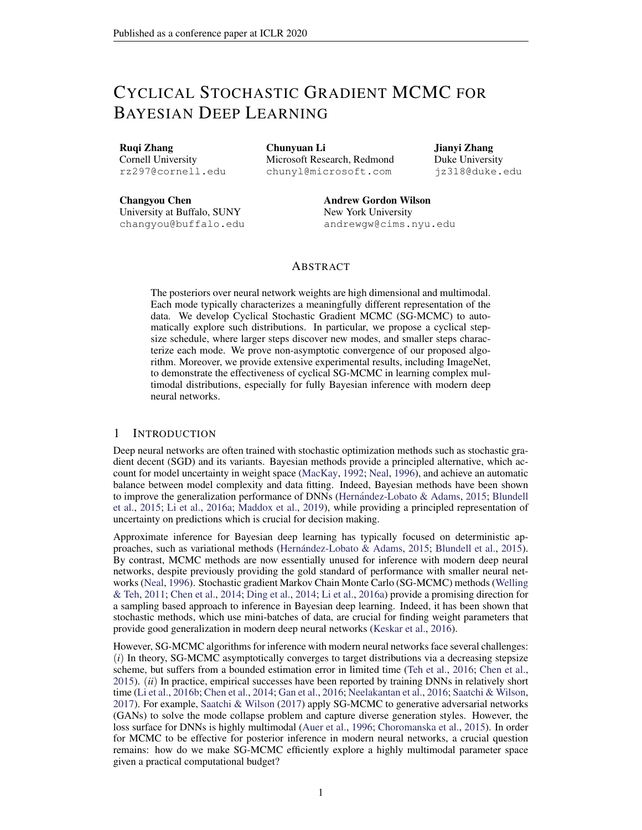where

$$
\overline{n}_{m} = \frac{\mathbb{X}^{n} \ \mathbb{X}^{m}}{m=1 \ j=1} 1_{\sim_{m}} \left( \begin{array}{c} (m) \\ j \end{array} \right)
$$

and1 $_{\sim_m}$  (  $\binom{(m)}{j}$  equals 1 only when $\binom{(m)}{j}$  2  $\sim_m$  . By doing so, our estimator still holds even if<sub>m</sub> are not disjoint.

# G THEORETICAL ANALYSIS UNDER CONVEX ASSUMPTION

Firstly, we introduce the following SDE

$$
d_t = r U(t) dt + \frac{p}{2} dW_t ; \qquad (34)
$$

Let  $_t$  denote the distribution of<sub>t</sub>, and the stationary distribution of equation 34 $\sharp$ (ejD), which means  $_1$  = p( jD).

However, the exact evaluation of the gradient is computationally expensive. Hence, we need to adopt noisy evaluations of U. For simplicity, we assume that at any point we can observe the value

$$
r \cup_k = r \cup (\kappa) + \kappa
$$

where  $_k : k = 0; 1; 2; ...$  is a sequence of random (noise) vectors. Then the algorithm is de ned as:

k+1 = <sup>k</sup> k+1 r ~U<sup>k</sup> + p 2 k+1 k+1 (35)

Further, let  $_k$  denote the distribution of  $_k$ .

Following the existing work in Dalalyan & Karagulyan (2019), we adopt the following standard assumptions summarized in Assumption 5,

Assumption 5.

For some positive constants m and M, it holds

U( ) U(  $^{\circ}$ ) r U(  $^{\circ}$ T(  $^{\circ}$ ) (m=2)k  $\frac{0.2}{2}$ kr $U( )$  r  $U( \ ^{0})$ k $_{2}$  Mk  $\mathsf{a}_{\mathsf{K}_2}$ 

for any;  $^0$ 2 R $^{\mathsf{d}}$ 

(bounded bias $E[kE(|k|k) k^2]$  $^{2}d$ 

(bounded variance  $E[k_k - E(k_j - k)k_2^2]$  $^{2}d$ 

(independence of updates)<sub> $k_1$ </sub> in equation 35 is independent  $\mathfrak{ch}_1$ ;  $_2$ ; :::;  $_k$ )

G.1 THEOREM

Under Assumption 5 in the appendix and 2  $(0; \frac{1}{m} \wedge \frac{2}{M})$ , if we dene the <sub>min</sub> as  $\frac{0}{2}$ cos  $\frac{\text{mod}(\text{dK}=M \text{ e } 1;\text{dK}=M \text{ e})}{\text{dK}=M \text{ e}}$  + 1, we can derive the the following bounds.

If m <sub>min</sub> + M <sub>0</sub> 2, thenW<sub>2</sub>(<sub>k+1</sub>; 1)  
\n(1 m <sub>min</sub>)<sup>K</sup> W<sub>2</sub>(<sub>0</sub>; 1) + 
$$
\frac{(1:65M_{0}^{3=2} + 0)d^{1=2}}{m_{min}} + \frac{2}{1:65M_{0}^{1=2} + 0} + \frac{2}{1:65M_{0}^{1=2} + 0} = 2
$$
 (36)

If m <sub>min</sub> + M <sub>0</sub> > 2, thenW<sub>2</sub>(<sub>k+1</sub>; 1)  
\n
$$
(1 (2 M_0))^{K} W_2(0; 1) + \frac{(1:65M_0^{3=2} + 0)d^{1=2}}{2 M_0} + \frac{2}{1:65M_0^{1=2} + 0} = \frac{2}{1:65M_0^{1=2} + 0} = \frac{2}{1:65M_0^{1=2} + 0} = \frac{2}{1:65M_0^{1=2} + 0} = \frac{2}{1:65M_0^{1=2} + 0} = \frac{2}{1:65M_0^{1=2} + 0} = \frac{2}{1:65M_0^{1=2} + 0} = \frac{2}{1:65M_0^{1=2} + 0} = \frac{2}{1:65M_0^{1=2} + 0} = \frac{2}{1:65M_0^{1=2} + 0} = \frac{2}{1:65M_0^{1=2} + 0} = \frac{2}{1:65M_0^{1=2} + 0} = \frac{2}{1:65M_0^{1=2} + 0} = \frac{2}{1:65M_0^{1=2} + 0} = \frac{2}{1:65M_0^{1=2} + 0} = \frac{2}{1:65M_0^{1=2} + 0} = \frac{2}{1:65M_0^{1=2} + 0} = \frac{2}{1:65M_0^{1=2} + 0} = \frac{2}{1:65M_0^{1=2} + 0} = \frac{2}{1:65M_0^{1=2} + 0} = \frac{2}{1:65M_0^{1=2} + 0} = \frac{2}{1:65M_0^{1=2} + 0} = \frac{2}{1:65M_0^{1=2} + 0} = \frac{2}{1:65M_0^{1=2} + 0} = \frac{2}{1:65M_0^{1=2} + 0} = \frac{2}{1:65M_0^{1=2} + 0} = \frac{2}{1:65M_0^{1=2} + 0} = \frac{2}{1:65M_0^{1=2} + 0} = \frac{2}{1:65M_0^{1=2} + 0} = \frac{2}{1:65M_0^{1=2} + 0} = \frac
$$

where theM; m; ; are some positive constants de ned in Assumption 5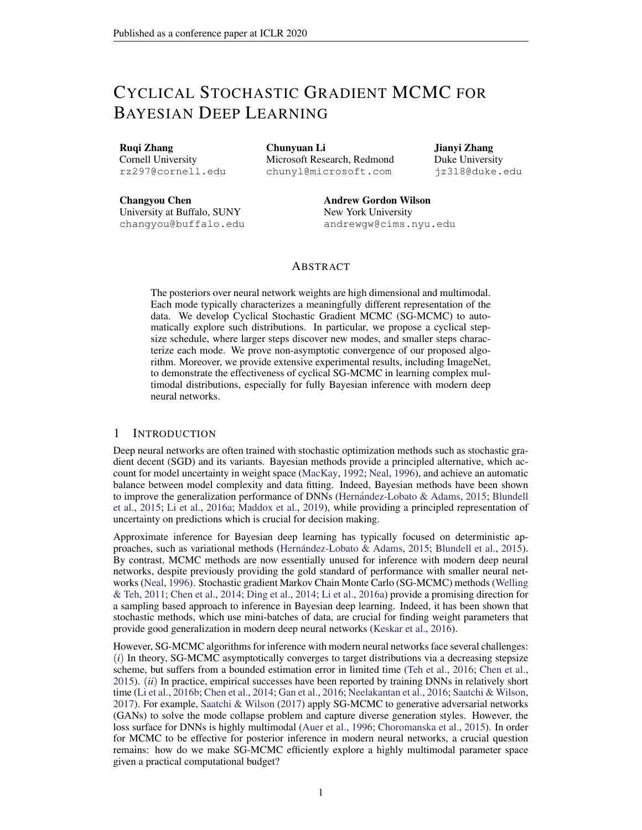# G.2 PROOF

Proof. According to the equation 1, we can nd that the stepsizevaries from  $_0$  to  $_{min}$ , where  $_{\text{min}}$  is de-ned as  $_{\text{min}}$  ,  $\frac{0}{2}$  cos  $\frac{\text{mod dK=M e 1};dK=M e)}{dK=M e}$  +1. When 0 <  $_{0}$  < min(2=M; 1=m), it is easy for us to know that  $\langle k \rangle$  = min(2=M; 1=m) for everyk > 0. Then we can derive that all the<sub>k</sub>, max(1 m <sub>k</sub>; M  $_k$  1) will satisfy  $0 < k < 1$ . Now according to the Proposition 2 in Dalalyan & Karagulyan (2019), we can derive the result that

$$
W_2(k+1; 1)^2
$$
 f  $k+1 W_2(k; 1) + 1.65M(\frac{3}{k+1}d)^{1=2} + k+1$   $\overline{P}_{pq}^2 + \frac{2}{k+1}d$  (38)

Then we will use another lemma derived from Dalalyan & Karagulyan (2019).

Lemma 2. If  $A$ , B, C are non-negative numbers such that  $A(0,1)$  and the sequence of non-negative numbersy $_k$  satis es the following inequality

$$
y_{k+1}^2
$$
 [(1 A) $y_k$  + C]<sup>2</sup> + B<sup>2</sup>

for every integer  $\times$  0. Then,

$$
y_k \quad (1 \quad A)^k y_0 + \frac{C}{A} + \frac{B^2}{C + 1} \overline{AB}
$$

Using Lemma 2, we can nish our proof now.

If m  $_{min}$  + M  $_{0}$  2, the <sub>k</sub> will satisfy  $_{k}$  1 m  $_{min}$  for every k > 0. Then the equation 38 will turn into

 $W_2$ (  $_{k+1}$ ; 1)<sup>2</sup> f (1 m <sub>min</sub>) $W_2$ (  $_k$ ; 1) + 1:65M ( $^{3}_{0}$ d)<sup>1=2</sup> + 0d<sup>1=2</sup>g<sup>2</sup> + (0d<sup>1=2</sup>)<sup>2</sup> for everyk > 0. Then we can se A = m  $_{\text{min}}$  , C = 1:65M ( $_{0}^{3}$ d)<sup>1=2</sup> +  $_{0}$  d<sup>1=2</sup>, B =

 $_0$ d<sup>1=2</sup> and we can get the result.

If m  $_{min}$  + M  $_0$  > 2, the  $_{k}$  will satisfy  $_{k}$  M  $_{0}$  1 for every k > 0. Then the equation 38 will turn into

 $\mathsf{W}_2(\begin{array}{cc} _{k+1} \vdots _{1} \end{array})^2$  f [1 (2 M  $_0$ )] $\mathsf{W}_2(\begin{array}{cc} _{k} \vdots _{1} \end{array})$  + 1 :65M (  $_0^3$ d)<sup>1=2</sup> +  $_0$  d<sup>1=2</sup>g<sup>2</sup> + (  $_0$ d<sup>1=2</sup>)<sup>2</sup> for every k > 0. Then we can se A = 2 M  $_0$ , C = 1:65M ( $_0^3$ d)<sup>1=2</sup> +  $_0$  d<sup>1=2</sup>,  $B = 0$ d<sup>1=2</sup> and we can get the result.

$$
\square
$$

# H FUTURE DIRECTION FOR THEWASSERSTEIN GRADIENT FLOWS

We would like to point out that the convergence theorems developed in the above several sections can be potentially applied to study the convergence of the Wasserstein gradient ows (Santambrogio, 2017), which can be regarded as a continuous-time MCMC (Chen et al., 2018; Liu et al., 2019). The theorems may shed some lights on the stepsize choice of the Wasserstein gradient ows which is less studied in the literature. We leave it as an interesting future work.

# I HYPERPARAMETERS SETTING

### I.1 SENSITIVITY OF HYPERPARAMETERS

Compared to SG-MCMC, there are two additional hyperparameters in Algorithm 1: the number of cyclesM and the proportion of exploration stage. We now study how sensitive they are when comparing to the parallel MCMC. With the same setup as in Section 5.2, We compare our method with M cycles and epochs per cycle with running chains parallel MCMC for epochs. The training budget is 200 epochs. In TableM<sub>2</sub>,  $= 4$  and  $= 0:8$  on CIFAR-10. We compare cSGLD and parallel SGLD with smaller and larger values thand . In Table 6, we see that the conclusion that cSG-MCMC is better than parallel SG-MCMC holds with different values cand .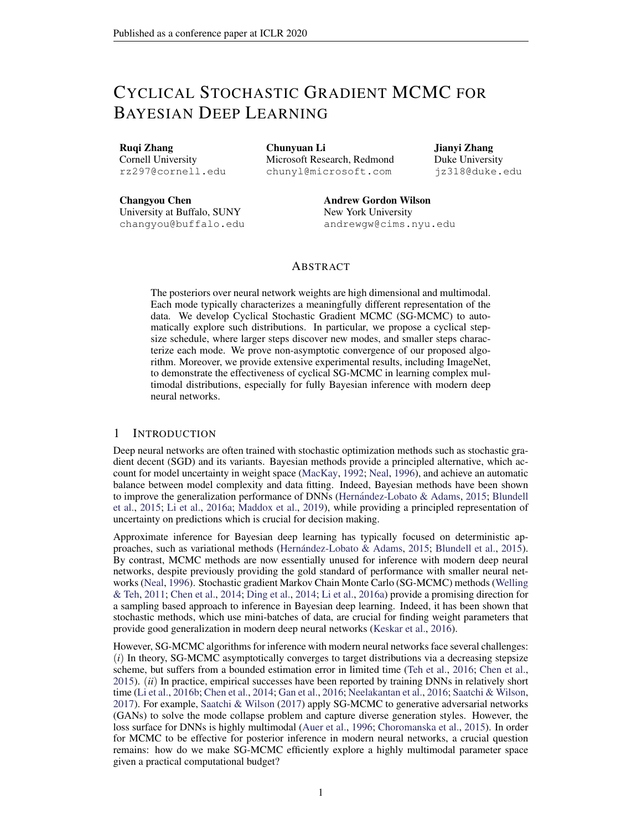#### I.2 HYPERPARAMETERS SETTING IN PRACTICE

Given the training budget, there is a trade-off between the number of cycles  $M$  and the cycle length. We find that it works well in practice by setting the cycle length such that the model with optimization methods will be close to a mode after running for that length. (e.g. the cycle length for CIFAR-10 is 50 epochs. The model optimized by SGD can achieve about 5% error after 50 epochs which means the model is close but not fully converge to a mode after 50 epochs.) Once the cycle length is fixed,  $M$  is fixed. needs tuning for different tasks by cross-validation. Generally, needs to be tuned so that the sampler has enough time to reach a good region before starting sampling.

|               | $= 0.8$<br>$M = 2$ : | $M = 5$ ; $= 0.8$ | $M = 4$ ; $= 0.7$ | $= 0.9$<br>$M = 4$ : |
|---------------|----------------------|-------------------|-------------------|----------------------|
|               | −……                  | T.J.              | 4.08              | 4.34                 |
| Parallel SGLD | ۔ 49.ر               | .38               |                   |                      |

Table 6: Comparison of test error (%) between cSG-MCMC and parallel algorithm with varying values of hyperparameters on CIFAR-10.

# J TEMPERING IN BAYESIAN NEURAL NETWORKS

Tempering is common in modern Bayesian deep learning, for both variational inference and MCMC approaches (e.g., Li et al., 2016a; Nguyen et al., 2017; Fortunato et al., 2017). In general, tempering reflects the belief that the model capacity is misspecified. This combination of beliefs with data is what shapes the posterior we want to use to form a good predictive distribution.

Although we use the prescribed temperature in pSGLD (Li et al., 2016a) for all neural network experiments in the main text ( $T = 0.0045$ ), we here investigate the effect of temperature T on performance. We show negative log-likelihood (NLL) and classification error as a function of temperature on CIFAR-10 and CIFAR-100 using cSGLD with the same setup as in Section 5.2. We consider  $T \n\supseteq [1/0.5/0.1/0.05/0.01/0.005/0]$ . Figure 6 and 7 show the results on CIFAR-10 and CIFAR-100, respectively. On CIFAR-10, the best performance is achieved at  $T = 0.1$  with NLL 0.1331 and error 4.22%. On CIFAR-100, the best performance is achieved at  $T = 0.01$  with NLL 0.7835 and error 20.53%. We find that the optimal temperature is often less than 1. We hypothesize that this result is due to the model misspecification common to neural networks.

Indeed, modern neural networks are particularly overparametrized. Tempering enables one to use a model with similar inductive biases to a modern neural network, but with a more well calibrated capacity (which is especially important when we are doing Bayesian integration instead of optimization). Indeed, we show that by sampling from the tempered posterior, we outperform optimization. Learning the amount of tempering by cross-validation is a principled way of aligning the tempering procedure with representing a reasonable posterior. We have shown that sampling with cSGMCMC with tempering helps in terms of both NLL and accuracy, which indicates that we are finding a better predictive distribution.



Figure 6: NLL and error  $(\%)$  as a function of temeprature on CIFAR-10 using cSGLD. The best performance of both NLL and error is achieved at  $T = 0.1$ .